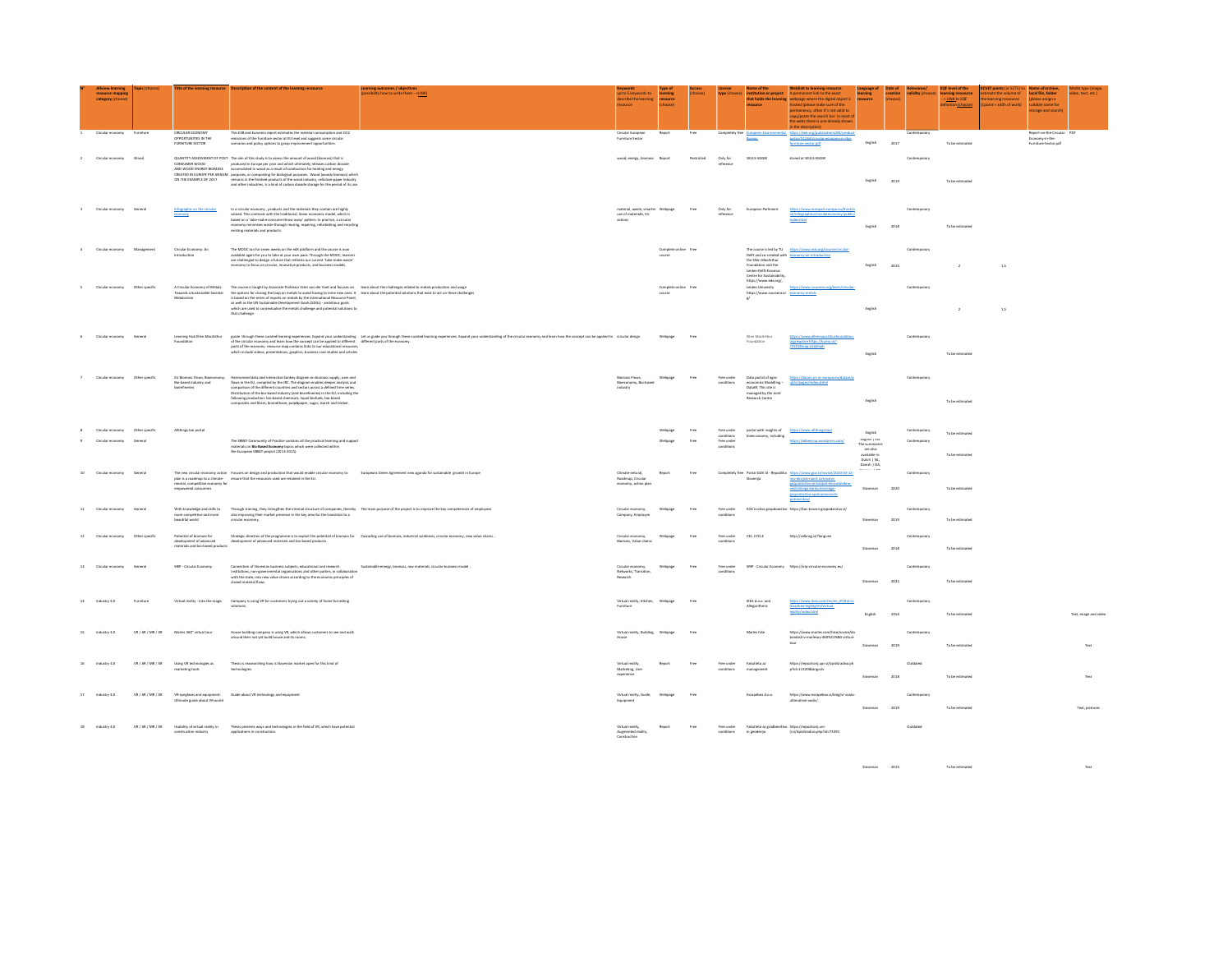|                   | <b>Allview learning</b><br>resource mappin<br>category (choose                                                                      |                   |                                                                                         | itle of the learning resource Description of the content of the learning ressource                                                                                                                                                                                                                                                                                                                                                                                                                                                                                                                                                                          | arning outcomes / objectives<br>ossibility how to write them --> <u>LINK}</u>                                                                                                                                                  | p to 5 keywords to<br>escribe the learning                          | rning<br>resource    |      |                          | stitution or project<br>that holds the learning                                                                      | link to learning resource.<br>manent link to the evact<br>.<br>vebpage where the digital object is<br>off th anip silem ozcoln) hatte<br>ermanency, often it's not valid to<br>by/paste the search bar. In most<br>e webs there is one already show | guage<br>resource                                                                           | reation<br>hoose |              | level of the<br>arning ressource<br>LINK to EQF<br>n (choose) | nate the volume of<br>$sin t = +30h$ of work | local file, folder<br>lease assign a<br>tahle name fo<br>torage and searc | Media type (imag)<br>video, text, etc.) |
|-------------------|-------------------------------------------------------------------------------------------------------------------------------------|-------------------|-----------------------------------------------------------------------------------------|-------------------------------------------------------------------------------------------------------------------------------------------------------------------------------------------------------------------------------------------------------------------------------------------------------------------------------------------------------------------------------------------------------------------------------------------------------------------------------------------------------------------------------------------------------------------------------------------------------------------------------------------------------------|--------------------------------------------------------------------------------------------------------------------------------------------------------------------------------------------------------------------------------|---------------------------------------------------------------------|----------------------|------|--------------------------|----------------------------------------------------------------------------------------------------------------------|-----------------------------------------------------------------------------------------------------------------------------------------------------------------------------------------------------------------------------------------------------|---------------------------------------------------------------------------------------------|------------------|--------------|---------------------------------------------------------------|----------------------------------------------|---------------------------------------------------------------------------|-----------------------------------------|
|                   | Circular economy                                                                                                                    | Furniture         | CIRCULAR ECONOMY<br>OPPORTUNITIES IN THE<br><b>FURNITURE SECTOR</b>                     | This EEB and Euromia report estimates the material consumption and CO2<br>emissions of the furniture sector at EU level and suppests some circular<br>scenarios and policy options to grasp improvement opportunities.                                                                                                                                                                                                                                                                                                                                                                                                                                      |                                                                                                                                                                                                                                | Circular European<br>Furniture Sector                               | Report               | Free | Completely free European | Bureau                                                                                                               | ntal https://eeb.org/publications/80/product<br>policy/51266/circular-economy-in-the-<br>fumiture-sector.pdf                                                                                                                                        | English                                                                                     | 2017             | Contemporary | To be estimate                                                |                                              | Report-on-the-Circular- PD<br>Economy-in-the-<br>Furniture-Sector.pd      |                                         |
|                   | Circular economy Wood                                                                                                               |                   | CONSUMER WOOD<br>AND WOOD ENERGY BIOMASS                                                | QUANTITY ASSESSMENT OF POST- The aim of this study is to assess the amount of wood (biomass) that is<br>produced in Europe per year and which ultimately releases carbon dicoide<br>accumulated in wood as a result of combustion for heating and energy<br>CREATED IN EUROPE PER ANNUM purposes, or compositing for biological purposes. Wood (woody biomass) which<br>ON THE EXAMPLE OF 2017 remains in the finished products of the wood industry, cellulose-paper industry<br>and other industries, is a kind of carbon dioxide storage for the period of its use                                                                                       |                                                                                                                                                                                                                                | wood, energy, biomass Report                                        |                      |      | Only for<br>referenc     | wus-soow                                                                                                             | stored at WULS-SGGW                                                                                                                                                                                                                                 | English                                                                                     | 2019             | Contemporary | To be estimated                                               |                                              |                                                                           |                                         |
|                   | Circular economy General                                                                                                            |                   | Infographic on the circular<br>economy                                                  | In a circular economy , products and the materials they contain are highly<br>valued. This contrasts with the traditional, linear economic model, which is<br>based on a 'take-make-consume-throw away' pattern. In practice, a circular<br>economy minimises waste through reusing, repairing, refurbishing and recycling<br>existing materials and products.                                                                                                                                                                                                                                                                                              |                                                                                                                                                                                                                                | material, waste, smarter Webpass<br>use of materials, EU<br>actions |                      | Fre- | Only for<br>seference    | European Parliment                                                                                                   | https://www.europarl.europa.eu/thinkti<br>nk/infographics/circulareconomy/public<br>index.html                                                                                                                                                      | English                                                                                     | 2018             | Contemporary | To be estimated                                               |                                              |                                                                           |                                         |
|                   | Circular economy Management                                                                                                         |                   | Circular Economy: An<br>Introduction                                                    | The MOOC ran for seven weeks on the edX platform and the course is now<br>ivailable again for you to take at your own pace. Through the MOOC, learners<br>are challenged to design a future that rethinks our current 'take-make-waste'<br>economy to focus on circular, innovative products, and business models.                                                                                                                                                                                                                                                                                                                                          |                                                                                                                                                                                                                                |                                                                     | Complete online free |      |                          | Foundation and the<br>Leiden-Deff-Erasmus<br>Centre for Sustainability<br>https://www.edx.org/,                      | The course is led by TU https://www.edx.org/course/circular-<br>Delft and co-created with economy-an-introduction<br>the Ellen MacArthur                                                                                                            | English                                                                                     | 2015             | Contemporary | $\overline{2}$                                                | 1,5                                          |                                                                           |                                         |
|                   | Circular economy Other specific                                                                                                     |                   | A Circular Freeness of Matalo-<br>Towards a Sustainable Societal<br>Metabolism          | The course is taught by Associate Professor Ester van der Voet and focuses on learn about the challenges related to metals production and usage<br>the options for closing the loop on metals to avoid having to mine new ones. It learn about the potential solutions that exist to act on these challenges<br>is based on the series of reports on metals by the International Resource Panel.<br>is used on the UN Sustainable Development Goals (SDGs) - ambitious goals<br>as well as the UN Sustainable Development Goals (SDGs) - ambitious goals<br>which are used to contextualise the metals challenge and potential solutions<br>that challenge. |                                                                                                                                                                                                                                |                                                                     | Complete online free |      |                          | Leiden University<br>https://www.coursera.r<br>ø                                                                     | https://www.coursera.org/learn/circula<br>economy-metals                                                                                                                                                                                            | English                                                                                     |                  | Contemporary | $\cdot$                                                       | 1,5                                          |                                                                           |                                         |
|                   | Circular accorders Congral                                                                                                          |                   | Learning Hub Ellen MacArthur                                                            | parts of the economy, resource map contains links to our educational resources.<br>which include videos, presentations, graphics, business case studies and articles                                                                                                                                                                                                                                                                                                                                                                                                                                                                                        | guide through these curated learning experiences. Expand your understanding Let us guide you through these curated learning experiences. Expand your understanding of the circular economy and learn how the concept can be ap |                                                                     | Webpage              | Free |                          | Filen Mardythur                                                                                                      | orp/explore.https://kumu.io/-<br>/2541#map-U2eitech                                                                                                                                                                                                 | English                                                                                     |                  | Contemporary | To be estimated                                               |                                              |                                                                           |                                         |
|                   | $\begin{tabular}{ll} \multicolumn{2}{l}{{\textbf{Circular economy}}} & \multicolumn{2}{l}{\textbf{Other specific}}\\ \end{tabular}$ |                   | EU Biomass Flows, Bioeconomy,<br>Bio-based industry and<br>himelingeles                 | Harmonised data and interactive Sankey diagram on biomass supply, uses and<br>flows in the EU, compiled by the JRC. The diagram enables deeper analysis and<br>comparison of the different countries and sectors across a defined time series.<br>Distribution of the bio-based industry (and biorefineries) in the EU, including the<br>following production: bio-based chemicals, liquid biofuels, bio-based<br>composites and fibres, biomethane, pulp&paper, sugar, starch and timber.                                                                                                                                                                  |                                                                                                                                                                                                                                | <b>Biomass Flows</b><br>Bioeconomy, Bio-based<br>industry           | Nebpage              |      | Free under<br>conditions | Data portal of agro-<br>economics Modelling<br>Datable This site is<br>managed by the Join<br><b>Research Centre</b> | https://datam.jrc.ec.europa.eu/datam/p<br>Instruction (Jagge)<br>ubli                                                                                                                                                                               | English                                                                                     |                  | Contemporary | To be estimated                                               |                                              |                                                                           |                                         |
|                   | Circular economy Other specific                                                                                                     |                   | Althings bio portal                                                                     |                                                                                                                                                                                                                                                                                                                                                                                                                                                                                                                                                                                                                                                             |                                                                                                                                                                                                                                |                                                                     | Vebpage              | Free | Free under<br>conditions | portal with insights of https://www.allt<br>bioecconomy, including                                                   |                                                                                                                                                                                                                                                     | English                                                                                     |                  | Contemporary | To be estimated                                               |                                              |                                                                           |                                         |
|                   |                                                                                                                                     |                   |                                                                                         | The EBBEY Community of Practise contains all the practical learning and support<br>materials on Bio Based Economy topics which were collected within<br>the European EBBEY-project (2013-2015).                                                                                                                                                                                                                                                                                                                                                                                                                                                             |                                                                                                                                                                                                                                |                                                                     |                      |      | Free unde                |                                                                                                                      |                                                                                                                                                                                                                                                     | criginan ; c.re.<br>The summaries<br>are also<br>available in:<br>Dutch   NL<br>Danish   DA |                  | Conte        | To be estimated                                               |                                              |                                                                           |                                         |
|                   | Circular economy                                                                                                                    | Genera            | neutral, competitive economy for<br>empowered consumers                                 | The new circular economy action Focuses on design and production that would enable circular economy to Europeans Green Agreement new aganda for sustainable growth in Europe<br>plan is a roadmap to a climate- ensure that the resources used are retained in the EU.                                                                                                                                                                                                                                                                                                                                                                                      |                                                                                                                                                                                                                                | Climate-netural,<br>Roadmap, Circular<br>economy, action pla        |                      |      | Completely free          | Slovenija                                                                                                            | Portal GOV.SI - Republika https://www.gov.si/novice/2020-03-12-<br>nov-akcijski-nacrt-za-krozno-<br>gospodarstvo je kazipot-do-podrebno<br>nevtralnega-konkurencnega-<br>rospodarstva-opol<br>centi<br>potrosnikov                                  | ovenian                                                                                     | 2020             | Contemporary | To be estimate                                                |                                              |                                                                           |                                         |
| 11                | Circular economy General                                                                                                            |                   | With knowledge and skills to<br>more competitive and more<br>beautiful world            | also improving their market presence in the key area for the transition to a<br>circular economy.                                                                                                                                                                                                                                                                                                                                                                                                                                                                                                                                                           | Through training, they strengthen the internal structure of companies, thereby The main purpose of the project is to improve the key competencies of employees                                                                 | Circular economy.<br>Company, Employe                               | Wehnee               |      | Free under               |                                                                                                                      | KOC krožno epsedparstvo https://koc-krozno-epspodarstvo.si/                                                                                                                                                                                         | Slovenian                                                                                   | 2019             | Contemporary | To be estimated                                               |                                              |                                                                           |                                         |
| $12 \overline{ }$ | Circular economy                                                                                                                    | Other specific    | Potential of biomass for<br>development of advanced<br>materials and bio-based products | development of advanced materials and bio-based products.                                                                                                                                                                                                                                                                                                                                                                                                                                                                                                                                                                                                   | Strategic direction of the programme is to exploit the potential of biomass for Cascading use of biomass, industrial symbiosis, circular economy, new value chains .                                                           | Circular economy,<br>Biomass, Value chairs                          | Webpass              | Free | Free under               | CEL CYCLE                                                                                                            | http://celkrog.si/?lang=en                                                                                                                                                                                                                          |                                                                                             | 2018             | Contemp      | To be estimate                                                |                                              |                                                                           |                                         |
|                   | Circular economy                                                                                                                    | Genera            | SRIP - Circular Economy                                                                 | Connection of Slovenian business subjects, educational and research<br>institutions, non-governmental organisations and other parties, in collaboration<br>with the state, into new value chains according to the economic principles of<br>closed material flows.                                                                                                                                                                                                                                                                                                                                                                                          | Sustainable energy, biomass, raw materials, ciruclar business model                                                                                                                                                            | Circular economy,<br>Networks, Transition<br>Research               |                      |      |                          |                                                                                                                      | SRIP - Circular Economy https://srip-circular-economy.eu                                                                                                                                                                                            | Slovenian                                                                                   | 2021             | Contemporar  | To be estimated                                               |                                              |                                                                           |                                         |
| 14                | Industry 4.0                                                                                                                        | Furniture         | Virtual reality - into the magic                                                        | Company is using VR for customers trying out a variety of home furnishing                                                                                                                                                                                                                                                                                                                                                                                                                                                                                                                                                                                   |                                                                                                                                                                                                                                | Virtual reality, Kitchen. Webpass                                   |                      | fre  |                          | KEA d.o.o. and<br>Allegorithmic                                                                                      | Reaficea-highlights/Virtual-<br>reality/index.html                                                                                                                                                                                                  | English                                                                                     | 2016             | Contemporary | To be estimated                                               |                                              |                                                                           | Text, image and video                   |
| 15                | Industry 4.0                                                                                                                        | VR / AR / MR / XR | Marles 360" virtual tour                                                                | House building company is using VR, which allows customers to see and walk<br>round their not yet build house and its rooms.                                                                                                                                                                                                                                                                                                                                                                                                                                                                                                                                |                                                                                                                                                                                                                                | Virtual reality, Building. Webpass                                  |                      |      |                          | Marles hiše                                                                                                          | https://www.marles.com/hise/novice/do<br>rodosli v marksov 360%C2%80-virtual<br>tour                                                                                                                                                                | Slovenian                                                                                   | 2019             | Contemporary | To be estimated                                               |                                              |                                                                           | Text                                    |
|                   | Industry 4.0                                                                                                                        | VE / AB / MB / XB | Using VR technologies as<br>marketing tools                                             | Thesis is reasearching how is Slovenian market open for this kind of<br>technologies.                                                                                                                                                                                                                                                                                                                                                                                                                                                                                                                                                                       |                                                                                                                                                                                                                                | Virtual reality<br>Marketing, User<br>experience                    |                      |      | Free under               | Fabulteta v<br>managemen                                                                                             | https://reporitorii.upr.si/lzgisGradiya.ph<br>phd=11320⟨=slv                                                                                                                                                                                        | Simperian                                                                                   | 2018             | Outstated    | To be estimated                                               |                                              |                                                                           | Text                                    |
|                   | Industry 4.0                                                                                                                        | VR / AR / MR / XR | VR eyeglases and equipment<br>Ultimate guide about VR world                             | Guide about VR technology and equipment                                                                                                                                                                                                                                                                                                                                                                                                                                                                                                                                                                                                                     |                                                                                                                                                                                                                                | Virtual reality, Guide<br>Equipment                                 |                      |      |                          | Escapebox d.o.o.                                                                                                     | https://www.escapebox.si/blog/vr-ocala<br>ultimativni vodic/                                                                                                                                                                                        | Slovenian                                                                                   | 2019             | Conter       | To be estimated                                               |                                              |                                                                           | Text, pistnares                         |
|                   | Industry 4.0                                                                                                                        | VR / AR / MR / XR | Usability of virtual reality in<br>construction industry                                | Thesis presents ways and technologies in the field of VR, which have potential<br>applications in construction.                                                                                                                                                                                                                                                                                                                                                                                                                                                                                                                                             |                                                                                                                                                                                                                                | Virtual reality,<br>Augmented reality,<br>Construction              |                      |      | Free under<br>conditions | Fakulteta za gradbeništvo https://repositorij.ur<br>in geodezijo                                                     | Ij.si/IzpisGradiva.php?id=73391                                                                                                                                                                                                                     |                                                                                             |                  | Outdated     |                                                               |                                              |                                                                           |                                         |

Slovenian 2015 To be estimated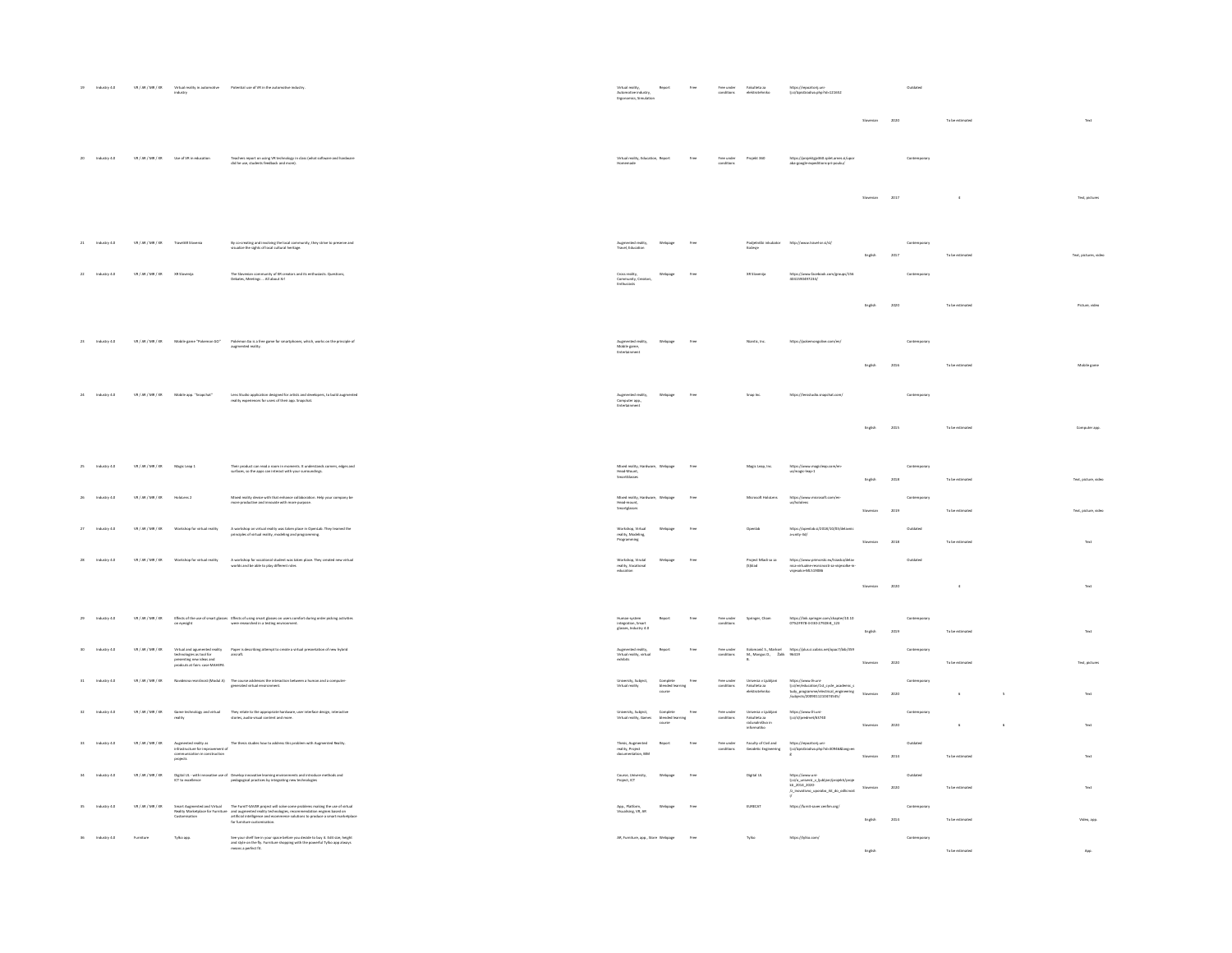|                   | $19\hspace{15pt}$ Industry $4.0\hspace{15pt}$ | $\texttt{VR}/\texttt{AR}/\texttt{MR}/\texttt{XR}$ |                                                                                                                      | Virtual reality in automotive $\qquad$ Potential use of VR in the automotive industry industry                                                                                                                                                                                                                                                                            | Virtual reality,<br>Automotive industry,<br>Ergonomics, Simulatio                                              |                                        |      |                          |                                                                         | lj.si/lzpisGradiva.php?id=121652                                                                                                            |                           |               |              |                                    |                        |
|-------------------|-----------------------------------------------|---------------------------------------------------|----------------------------------------------------------------------------------------------------------------------|---------------------------------------------------------------------------------------------------------------------------------------------------------------------------------------------------------------------------------------------------------------------------------------------------------------------------------------------------------------------------|----------------------------------------------------------------------------------------------------------------|----------------------------------------|------|--------------------------|-------------------------------------------------------------------------|---------------------------------------------------------------------------------------------------------------------------------------------|---------------------------|---------------|--------------|------------------------------------|------------------------|
|                   |                                               |                                                   |                                                                                                                      |                                                                                                                                                                                                                                                                                                                                                                           |                                                                                                                |                                        |      |                          |                                                                         |                                                                                                                                             | Slovenian                 | 2020          |              | To be estimated                    | Text                   |
| $20\,$            | Industry 4.0                                  |                                                   | VR / AR / MR / XR Use of VR in education                                                                             | Teachers report on using VR technology in class (what software and hardware<br>did he use, students feedback and more).                                                                                                                                                                                                                                                   | Virtual reality, Education, Report<br>Homemade                                                                 |                                        |      | Free under<br>conditions | Projekt 360                                                             | https://projektgjv360.splet.ames.si/upor<br>aba-google-expeditions-pri-pouku/                                                               |                           |               | Contemporary |                                    |                        |
|                   |                                               |                                                   |                                                                                                                      |                                                                                                                                                                                                                                                                                                                                                                           |                                                                                                                |                                        |      |                          |                                                                         |                                                                                                                                             | Slovenian                 | 2017          |              |                                    | Text, pictures         |
|                   | 21 Industry 4.0                               | VR / AR / MR / XR                                 | TravelAR Slovenia                                                                                                    | By co-creating and involving the local community, they strive to preserve and visualize the sights of local cultural heritage.                                                                                                                                                                                                                                            | Augmented reality,<br>Travel, Education                                                                        |                                        |      |                          | Kočevje                                                                 | Podjetniški inkubator http://www.travel-ar.si/sl/                                                                                           | English                   | 2017          | Contemporary | To be estimated                    | Text, pictures, video  |
|                   | Industry 4.0                                  | VR/AR/MR/XR                                       | XR Slovenija                                                                                                         | unity of XIt creators and its enthusiasts. Questions<br>Debates, Meetings  All about Xrl                                                                                                                                                                                                                                                                                  | Community, Creators                                                                                            |                                        | Free |                          |                                                                         | https://www.facebook.com/eroups/156<br>4041590497234/                                                                                       |                           |               |              |                                    |                        |
|                   |                                               |                                                   |                                                                                                                      |                                                                                                                                                                                                                                                                                                                                                                           |                                                                                                                |                                        |      |                          |                                                                         |                                                                                                                                             | English                   | 2020          |              | To be estimated                    | Picture, video         |
| $_{\rm 23}$       | Industry 4.0                                  |                                                   | $\mathtt{VR}/\mathtt{AR}/\mathtt{MR}/\mathtt{XR} \hspace{1cm} \mathtt{M} \mathtt{chile \, game \, "Pokemon \, GO".}$ | ${\sf Pokimon}$ Go is a free game for smartphones, which, works on the principle of augmented reality.                                                                                                                                                                                                                                                                    | Augmented rea<br>Mobile game,<br>Entertainment                                                                 |                                        |      |                          | Niantic, Inc.                                                           |                                                                                                                                             | ${\sf English}$           | 2016          | Contempo     | To be estimate                     | Mobile game            |
| $24\,$            | Industry 4.0                                  | VR/AR/MR/XR                                       | Mobile app. "Snapchat"                                                                                               | Lens Studio application designed for artists and developers, to build augmented reality experiences for users of their app. Snapchat.                                                                                                                                                                                                                                     | Augmented reality,<br>Computer app.,<br>Entertainment                                                          | Webpage                                |      |                          | Snap Inc.                                                               | https://lensstudio.snapchat.com                                                                                                             |                           |               | Contemporary |                                    |                        |
|                   |                                               |                                                   |                                                                                                                      |                                                                                                                                                                                                                                                                                                                                                                           |                                                                                                                |                                        |      |                          |                                                                         |                                                                                                                                             | English                   | 2015          |              | To be estimate                     | Computer app.          |
|                   | Industry 4.0                                  | $\text{VR}/\text{AR}/\text{MR}/\text{XR}$         | Magic Leap 1                                                                                                         | Their product can read a room in moments. It understands comers, edges and surfaces, so the apps can interact with your surroundings.                                                                                                                                                                                                                                     | Mixed reality, Hardware, Webpage<br>Head-Mount,<br>SmartGlasses                                                |                                        | Free |                          | Magic Leap, Inc.                                                        | https://www.magi<br>us/magic-leap-1                                                                                                         | English                   | $_{\rm 2018}$ |              | To be estimate                     | Text, picture, video   |
|                   | Industry 4.0                                  | VR/AR/MR/XR                                       |                                                                                                                      | Mixed reality device with that enhance collaboration. Help your company be<br>more productive and innovate with more purpose.                                                                                                                                                                                                                                             | Mixed reality<br>Head-mount,<br>Smartglasses                                                                   |                                        |      |                          |                                                                         |                                                                                                                                             | Slovenian                 | 2019          | Contempo     | To be estimate                     | Text, picture, video   |
| $\boldsymbol{27}$ | Industry 4.0                                  | VR/AR/MR/XR                                       | Workshop for virtual reality                                                                                         | A workshop on virtual reality was taken place in OpenLab. They learned the principles of virtual reality, modeling and programming.                                                                                                                                                                                                                                       | Workshop, Virtual<br>reality, Modeling,<br>Programming                                                         | Webpage                                | Free |                          | Openlab                                                                 | https://openlab.si/2018/10/03/delavnic<br>a-unity-3d/                                                                                       | Slovenian                 | 2018          | Outdate      | To be estimated                    | $_{\rm Text}$          |
| 28                | Industry 4.0                                  | VR/AR/MR/XR                                       | Workshop for virtual reality                                                                                         | A workshop for vocational student was taken place. They created new virtual worlds and be able to play different roles                                                                                                                                                                                                                                                    | Workshop, Virutal<br>reality, Vocational<br>education                                                          |                                        | Free |                          | Project Mladi so za<br>(S)klad                                          | https://www.primonki.eu/trzaska/delav<br>nica-virtualne-resnicnosti-za-visjesolke-in-<br>visjesolce-ML519086                                | Slovenian                 | 2020          | Outdate      | $\bar{a}$                          | Text                   |
| 29                | Industry 4.0                                  | VR/AR/MR/XR                                       |                                                                                                                      | Effects of the use of smart glasses Effects of using smart glasses on users comfort during order picking activities<br>on eyesight                                                                                                                                                                                                                                        | Human-system<br>integration, Smart<br>glasses, Industry 4.0                                                    |                                        |      | conditions               |                                                                         | https://link.springer.com/chapter/10.10<br>07%2F978-3-030-27928-8_123                                                                       |                           |               |              |                                    |                        |
|                   | Industry 4.0                                  | VR/AR/MR/XR                                       |                                                                                                                      | Virtual and agamented reality $p$ paper is describing attempt to create a virtual presentation of new hybrid technologies as tool for a aircraft.<br>technologies as tool for a aircraft.<br>predcuts at fairs: case MAHEPA                                                                                                                                               | $\begin{array}{c} \text{Augmented reality,} \\ \text{Virtual reality, virtual} \\ \text{edrilits} \end{array}$ |                                        |      | Free under<br>conditions |                                                                         | Kolomanič S., Marksel https://plus.si.cobiss.net/opac7/bib/359<br>M., Mongus D., Žalik 96419<br>B.                                          | English<br>Slovenian 2020 | 2019          | Contemp      | To be estimated<br>To be estimated | Text<br>Text, pictures |
| 31                | Industry 4.0                                  | VR / AR / MR / XR                                 |                                                                                                                      | $\label{thm:main} {\it Navidsena}\ reirilinear\ (Modul\,A) \qquad \mbox{The course addresses the interaction between a human and a computer-generated virtual environment.}$                                                                                                                                                                                              | Virtual reality                                                                                                |                                        |      | Free under<br>conditions | Fakulteta za<br>elektrotehniko                                          | https://www.fe.uni-<br>lj.si/en/education/1st_cycle_academic_s<br>tudy_programms/electrical_engineering<br>/subjects/2009011210474545/      | Slovenian                 | 2020          | Contemporary | $_{\rm 6}$                         | Text                   |
| $32\,$            | Industry 4.0                                  | VR/AR/MR/XR                                       |                                                                                                                      | $\label{thm:main} {\rm Game\ technology\ and\ virtual\ }\hspace{2cm} {\rm They\ relate\ to\ the\ appropriate\ barb wave, user\ interface\ design,\ into the\ same\ time\ of\ the\ other\ and\ more.}$                                                                                                                                                                     | University, Subject,<br>Virtual reality, Games                                                                 | Complete<br>blended learning<br>course |      | Free under<br>conditions | Univerza v Ljubljani<br>Fakulteta za<br>računalništvo in<br>informatiko | https://www.fri.uni-<br>Ij.si/sl/predmet/63740                                                                                              | Slovenian                 | 2020          | Contempora   | 6                                  | Text                   |
|                   | Industry 4.0                                  | VR/AR/MR/XR                                       |                                                                                                                      | Augmented reality as<br>$\label{thm:main} The basis studies how to address this problem with Augmented Paulity. In particular, the improvement of communication in construction.$                                                                                                                                                                                         | <b>Thesis, Augmented<br/>reality, Project<br/>documentation, BM</b>                                            |                                        |      | Free under<br>conditions | <b>Faculty of Civil and<br/>Geodetic Engineering</b>                    | https://repozitorij.uni-<br>Ij. si/IzpisGradiva.php?id=30946⟨=en<br>8                                                                       |                           | 2014          |              | To be estimate                     | Text                   |
|                   | Industry 4.0                                  | VR/AR/MR/XR                                       |                                                                                                                      | Digital UL - with innovative use of Develop innovative learning environments and introduce methods and<br>ICT to excellence                                                                                                                                                                                                                                               | Course, Univ<br>Project, ICT                                                                                   |                                        |      |                          | Digital UL                                                              | https://www.uni-<br>ij.si/o_univerzi_v_ijubljani/projekti/proje<br>kti_2014_2020-<br>/z_inowitivno_uporabo_ikt_do_odlicnost Slovenian<br>// |                           | 2020          | Outdate      | To be estimated                    | Text                   |
|                   | Industry 4.0                                  | $\mathtt{VR}/\mathtt{AR}/\mathtt{MR}/\mathtt{XR}$ |                                                                                                                      | $\label{prop:main} {\it Smart\,Augmented\,and\,Hutual}\qquad \mbox{The fourth-SAVER project will solve some problems making the use of virtualReality Matitegulice for Frankum and augmented matrix (rechrologis, recommutation engineering) and appropriate and geometricityand antif can be obtained as theconstrained to thetransmission for farmibus countemisation.$ | App., Platform,<br>Visualising, VR, AR                                                                         |                                        |      |                          | EURECAT                                                                 | https://furrit-saver.cenfim.org/                                                                                                            | English                   | 2014          | Contemporary | To be estimated                    | Video, app.            |
| 36                | Industry 4.0                                  |                                                   | Tylko app.                                                                                                           | See your shelf live in your space before you decide to buy it. Edit size, height<br>and style on the fly. Furniture shopping with the powerful Tylko app always<br>means a perfect fit.                                                                                                                                                                                   | AR, Furniture, app., Store Webpage                                                                             |                                        |      |                          | Tylko                                                                   | https://tylko.com/                                                                                                                          | English                   |               | Contemporary | To be estimated                    | App.                   |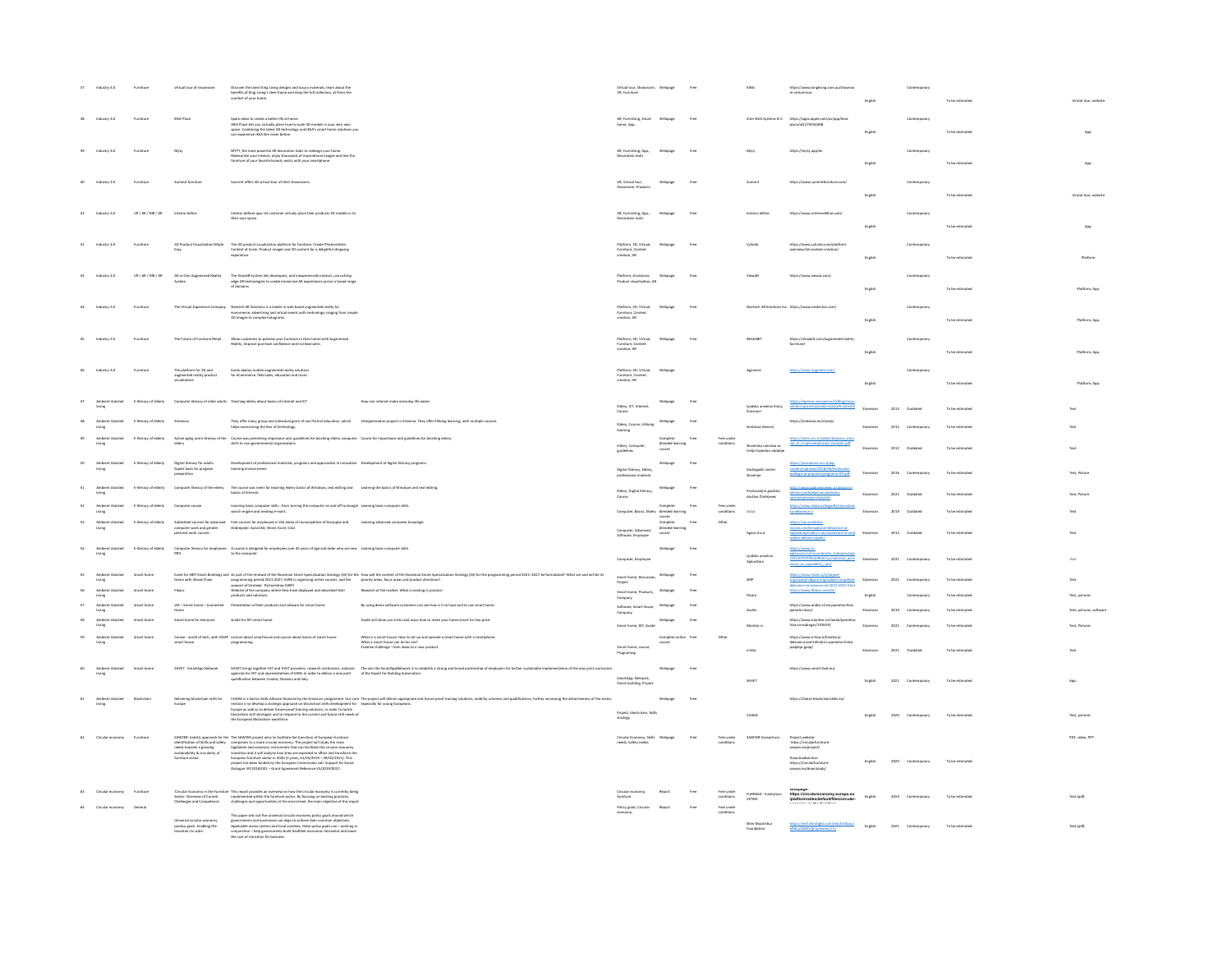|    | Industry 4.0                                           |                                |                                                                                                                 | Discover the latest King Living designs and luxury materials, learn about the<br>benefits of King Living's steel frame and shop the full collection, all from the<br>comfort of your home.                                                                                                                                                                                                                                                                                        |                                                                                                                                                                                                                                | Virtual tour, Showroom, Webpage<br>VR, Furniture             |                                        |      |                                       |                                                 | https://www.kingliving.com.au/showroc<br>m-virtual-tour                                                                 | English   |          |                   | To be estimated                    | Virutal tour, website   |
|----|--------------------------------------------------------|--------------------------------|-----------------------------------------------------------------------------------------------------------------|-----------------------------------------------------------------------------------------------------------------------------------------------------------------------------------------------------------------------------------------------------------------------------------------------------------------------------------------------------------------------------------------------------------------------------------------------------------------------------------|--------------------------------------------------------------------------------------------------------------------------------------------------------------------------------------------------------------------------------|--------------------------------------------------------------|----------------------------------------|------|---------------------------------------|-------------------------------------------------|-------------------------------------------------------------------------------------------------------------------------|-----------|----------|-------------------|------------------------------------|-------------------------|
|    | Industry 4.0                                           | Furniture                      | <b>IKEA Place</b>                                                                                               | Spark ideas to create a better life at horne.<br>1924: Pilace lets you virtually place true to-scale 3D models in your very own<br>space. Combining the latest AR technology and IKEA's smart home solutions you<br>can experience IKEA                                                                                                                                                                                                                                           |                                                                                                                                                                                                                                | AR, Furnishing, Smart<br>home, App                           | Webpage                                |      |                                       |                                                 | Inter IKEA Systems B.V. https://apps.apple.com/us/app/ikea<br>direct:177024408                                          | English   |          | Contem            | To be estimated                    |                         |
|    | Industry 4.0                                           |                                | Myty                                                                                                            | MYTY, the most powerful AR decoration tools to redesign your home.<br>Redecorate your interior, enjoy thousands of inspirational images and test the<br>furniture of your favorite brands, easily with your smartphone.                                                                                                                                                                                                                                                           |                                                                                                                                                                                                                                | AR, furnishing, App.,<br>Decoration tools                    |                                        |      |                                       |                                                 | https://myty.app/i                                                                                                      | English   |          |                   | To be estimated                    |                         |
|    | Industry 4.0                                           | Furniture                      | Summit fumiture                                                                                                 | Summit offers 3D virtual tour of their showrooms.                                                                                                                                                                                                                                                                                                                                                                                                                                 |                                                                                                                                                                                                                                | VR, Virtual tour,<br>Showroom, Products                      | Webpage                                | Free |                                       |                                                 | https://www.summitfumiture.com/                                                                                         | English   |          | Contemp           | To be estimate                     | Virutal tour, websit    |
|    | Industry 4.0                                           | VR / AR / MR / XR              |                                                                                                                 | Interior defines app. let customer virtualy place their products 3D models in to<br>their own space.                                                                                                                                                                                                                                                                                                                                                                              |                                                                                                                                                                                                                                | AR, furnishing, App.,                                        |                                        |      |                                       |                                                 | https://www.                                                                                                            | English   |          |                   | To be estimate                     | App                     |
|    | Industry 4.0                                           | Furnitur                       |                                                                                                                 | $\label{thm:main}$ 3D Product Visualization Made — The 3D product visualization platform for furniture. Create Photorealistic<br>Content at Scale. Product images and 3D content for a delightful shopping                                                                                                                                                                                                                                                                        |                                                                                                                                                                                                                                | Platform, 3D. Virtual.<br>Furniture, Content<br>creation, AR | Webpase                                | free |                                       | Cylindo                                         | https://www.cvlindo<br>prenview/3d-content-cre                                                                          | English   |          | Contemporar       | To be estimated                    | Platform                |
|    | Industry 4.0                                           | VR/AR/MR/XR                    |                                                                                                                 | $\label{prop:optimal} \begin{tabular}{ll} \textit{All-in-Ores} \textit{Augmented} \textit{Heality} & \textit{The ViewM} \textit{Systom} \textit{test} \textit{as} \textit{reis} \textit{test} \textit{in} \textit{in} \textit{in} \textit{in} \textit{in} \textit{in} \textit{in} \textit{in} \textit{in} \textit{in} \textit{in} \textit{in} \textit{in} \textit{in} \textit{in} \textit{in} \textit{in} \textit{in} \textit{in} \textit{in} \textit{in} \textit{in} \textit{in$ |                                                                                                                                                                                                                                |                                                              | Webpage                                | Free |                                       |                                                 | https://www.viewar.com/                                                                                                 |           |          | Contempo          |                                    |                         |
|    | Industry 4.0                                           | Furniture                      |                                                                                                                 | $\label{thm:main} The Virtual Experience Company \quad \textit{Methods} \textit{As} solutions is a loaded in \textit{well} is used augmented reality for \\\ \textit{exometric, advertising} and virtual events with technology ranging from simple.}$<br>3D Images to complex holograms.                                                                                                                                                                                         |                                                                                                                                                                                                                                | Platform, 3D, Virtual,<br>Furniture, Content<br>creation. AR | Webpage                                | free |                                       |                                                 | NexTech AR Solutions Inc. https://www.nextechar.com/                                                                    | English   |          | Contemporary      | To be estimate                     | Platform, App           |
|    | Industry 4.0                                           |                                |                                                                                                                 | $The future of Furthermore, the tail--Allow customers to prove formulas in their home with Agprenetedhality. Improve purchase and increase sales.\\$                                                                                                                                                                                                                                                                                                                              |                                                                                                                                                                                                                                | Platform, 3D, Virtual,<br>Furniture, Content<br>creation, AR |                                        |      |                                       |                                                 | https://inh<br>fumiture/<br>aabit.com/augme                                                                             | English   |          |                   | To be estimated                    | Platform, Age           |
|    | Industry 4.0                                           | Furniture                      | The platform for 3D and<br>augmented reality product<br>sualization                                             | Easily deploy mobile augmented reality solutions<br>for eCommerce, field sales, education and more.                                                                                                                                                                                                                                                                                                                                                                               |                                                                                                                                                                                                                                | Platform, 3D, Virtual,<br>Furniture, Content<br>creation, AR | Mehnae                                 |      |                                       |                                                 |                                                                                                                         | English   |          | Contemporar       | To be estimate                     | Platform, App           |
|    |                                                        |                                |                                                                                                                 | E-literacy of elderly Computer Iteracy of older adults Teaching eldery about basics of internet and ICT                                                                                                                                                                                                                                                                                                                                                                           | How can internet make everyday life easier.                                                                                                                                                                                    | Eldery, ICT, Internet,<br>Course                             |                                        |      |                                       |                                                 | alnisko-opismenjevanje-starejsih-odradih                                                                                | English   | 2014     | <b>Contained</b>  | To be estimated<br>To be estimated | Platform, Ago.<br>Text. |
|    | Living                                                 | E-literacy of elderly Simbiaza |                                                                                                                 |                                                                                                                                                                                                                                                                                                                                                                                                                                                                                   | They offer many group and individual gorm of non-formal education, which theregeneration project in Slovenia. They offer lifelong learning, with multiple courses.<br>helps overcoming the fear of technology.                 | Eldery, Course, Lifelang                                     |                                        |      |                                       | Simbicea Genesis                                |                                                                                                                         | Sloveniar | $20\,11$ | Contemporar       | To be estimated                    | Text                    |
|    | Ambient Assisted                                       | E-literacy of elderly          |                                                                                                                 | Active aging and e-literacy of the Course was presenting imporance and guidelines for teaching eldery computer Course for importance and guidelines for teaching eldery.<br>eldery                                                                                                                                                                                                                                                                                                |                                                                                                                                                                                                                                | learning<br>Eldery, Computer,<br>suideline                   | blended le<br>course                   |      |                                       | Slovenska univerza za<br>tretje žviensko obdobi | //arhiv.acs.si/vabila/Dejayno_g<br>nie in eopi                                                                          | Simperian | 2012     | Outdated          | To be estimated                    | Text                    |
| 50 | Ambient Assisted<br>Living                             |                                | E-literacy of elderly Digital literacy for adults<br>Expert basis for program<br>preparation                    | Development of professional materials, programs and approaches in innovative Development of digital literacy programs.<br>learning environments                                                                                                                                                                                                                                                                                                                                   |                                                                                                                                                                                                                                | Digital literacy, Eldery<br>professional material            | Webpage                                | free |                                       | Andragoški cent<br>Slovenije                    | https://pismenost.acs.si/wp-                                                                                            |           | 2016     |                   | To be estimate                     | Text, Picture           |
| 51 | Ambient Assisted                                       |                                |                                                                                                                 | E-literacy of elderly Computer Ibaracy of the eldery The course was ment for teaching eldery basics of Windows, text editing and Learning the basics of Windows and text editing.<br>basics of Internet.                                                                                                                                                                                                                                                                          |                                                                                                                                                                                                                                | Eldery, Digital liter<br>Course                              | Webpage                                |      |                                       | ndtun Čreč                                      | aktivno godezelje/racunalnisko-<br>Adaptate standardista                                                                |           | 2021     |                   | To be estimated                    | Text, Picture           |
| 52 | Ambient Assisted                                       | E-literacy of elderly          | Computer course                                                                                                 | Learning basic computer skills - from turning the computer on and off to Google Learning basic computer skills.<br>search engine and sending e-mails.                                                                                                                                                                                                                                                                                                                             |                                                                                                                                                                                                                                | Computer, Basics, Eldery blended learning                    | Complete<br>.<br>Dursk                 | free | Free under<br>conditions              | Doba                                            | delawica-1                                                                                                              |           | 2019     | Outdated          | To be estimate                     |                         |
| 53 | Ambient Assisted<br>Living                             | E-literacy of elderly          | personal work success                                                                                           | Subsidized courses for advanced Free courses for employees in the earea of municipalities of Grosuplje and Learning advanced computer knowlage<br>computer work and greater Dobrepolje: AutoCAD, Word, Excel, Clod.                                                                                                                                                                                                                                                               |                                                                                                                                                                                                                                | Computer, Advanced,<br>Software, Employee                    | Complete<br>blended learning<br>course |      |                                       | Agora d.o.o.                                    | novice com/brezolacne-d-<br>napredneise delo z-racunalnikom-in-veci-<br>Mega-involsi-indero                             | Slovenian |          | 2012 Outdated     | To be estimated                    | Text                    |
| 54 | Ambient Assisted E-literacy of elderly                 |                                |                                                                                                                 | Computer Iteracy for employees - A course is designed for employees over 45 years of age and older who are new Learning basic computer skills<br>RPO                                                                                                                                                                                                                                                                                                                              |                                                                                                                                                                                                                                | Computer, Employee                                           | Webpage                                | Free |                                       | Liudska univerza<br>.<br>Aidovičina             | https://www.lu<br>aidovicina si/racunalnisko izob<br>/2015070709320960/racunalniska pism<br>nost za zaposlene roo/      | Simpanian |          | 2021 Contemporary | To be estimated                    | Text                    |
|    | lasisted                                               | Smart home<br>Smart home       |                                                                                                                 |                                                                                                                                                                                                                                                                                                                                                                                                                                                                                   | See to the Danis and a start of the Universitation of the See See See and the Section Constitution State (See Section 2012) is the payment (See Section 2013) is the material of the Section 2013 and a planet of the Section  |                                                              | Webpage                                |      |                                       | SRIP                                            | srip/zadnje objave-srip/vabilo-na-s                                                                                     |           | 2021     |                   | To be estimate                     |                         |
|    | <b>Assisted</b>                                        | Smart home                     |                                                                                                                 | products and solutions.<br>VIA - Smart home - Connected Presentation of their products and sofware for smart home.                                                                                                                                                                                                                                                                                                                                                                | By using demo software customers can see how is it to have and to use smart home.                                                                                                                                              | Smart home, Products,<br>Company<br>Software, Smart house.   | Webpage                                |      |                                       | Fibaro                                          |                                                                                                                         |           |          |                   |                                    |                         |
|    |                                                        |                                | Smart home for everyone                                                                                         | Guide for DIY smart home.                                                                                                                                                                                                                                                                                                                                                                                                                                                         | Guide will show you tricks and ways how to make your home smart for low price.                                                                                                                                                 |                                                              |                                        |      |                                       | Andivi                                          | https://www.andivi.si/via-pa<br>pametni-dom/                                                                            |           |          |                   |                                    | lext, pictures, sol     |
|    | Ambient Assisted                                       | Smart home                     |                                                                                                                 | Course - world of tech. with GOAP Lecture about smarthouse and course about basics of smart house                                                                                                                                                                                                                                                                                                                                                                                 |                                                                                                                                                                                                                                | Smart home, DIY, Guide                                       | Complete online Free                   |      |                                       | Monitor is                                      | https://www.monitor.si/cli<br>hisa-za-vsakogar/191659/<br>https://www.e-hisa.si/kreativn                                |           | 2021     |                   | To be estimated                    | Text, Pictures          |
|    |                                                        |                                | smart house                                                                                                     | $propzaming.$                                                                                                                                                                                                                                                                                                                                                                                                                                                                     | What is a smart house. How to set up and operate a smart home with a smartphone.<br>What a smart house can do for me?<br>Creative challenge - from ideas to a new product.                                                     | Smart home, course<br>Programing                             |                                        |      |                                       | ehša                                            | delavnica-svet-tehnike-s-pame<br>podjetja-goap/                                                                         |           | 2021     |                   |                                    |                         |
|    | Ambient Assisted Smart home                            |                                | SHVET - SmartApp Network                                                                                        |                                                                                                                                                                                                                                                                                                                                                                                                                                                                                   | SHVET brings together VET and HVET proident, research instantions rational The aim the Smart-Appletence is to establish a strong and broad pertometrip of employers for forther sastainable implementation of the new joint cu | SmartApp, Network,<br>Smart building, Project                | Webpage                                | Free |                                       | SHVET                                           | https://www.smart-hvet.eu/                                                                                              |           | 2021     |                   | To be estimated                    | App                     |
|    | Ambient Assisted                                       | Blockchain                     |                                                                                                                 | the European Blockchain workforce.                                                                                                                                                                                                                                                                                                                                                                                                                                                | biliwir Chölts katrakin katalika filosof tyrk banna papama Drzowi The project will diversify the production prof traing shalos mality scheme individuals for the project of the project of the project of the project of the p | Project, blockchain, Skill<br>strategy                       | Webpage                                | Free |                                       | CHAISE                                          | https://chaise-blockchainskills.eu                                                                                      |           | 2020     |                   | To be estimated                    | Text, picture           |
|    | Circular economy Furniture                             |                                |                                                                                                                 | SAWYER: holistic approach for the The SAWYER project aims to facilitate the transition of European furniture                                                                                                                                                                                                                                                                                                                                                                      |                                                                                                                                                                                                                                | Circular Economy, Skills Webpage                             |                                        | Free | Free under                            | SAWYER Consortium                               | Project website:                                                                                                        |           |          |                   |                                    | PDF, video, PPT         |
|    |                                                        |                                |                                                                                                                 | $\label{eq:2} \begin{minipage}[t]{0.9\textwidth} \begin{tabular}{p{0.85\textwidth}} \textbf{Source} & \textbf{for}~\textbf{0}~\textbf{N}\\ \textbf{SAP} & \textbf{SAP}~\textbf{S}~\textbf{N}\\ \textbf{SAP} & \textbf{SAP}~\textbf{S}~\textbf{N}\\ \textbf{SAP} & \textbf{SAP}~\textbf{S}~\textbf{N}\\ \textbf{SAP} & \textbf{SAP}~\textbf{S}~\textbf{N}\\ \textbf{SAP} & \textbf{SAP}~\textbf{S}~\textbf{N}\\ \textbf{SAP} & \$                                                  |                                                                                                                                                                                                                                | needs, Safety needs                                          |                                        |      | conditions                            |                                                 | https://circularfurniture<br>sawyer.eu/project/<br>Liownicussiection<br>https://circularfumitur<br>sawyer.eu/downloadsj | English   |          | 2020 Contemporary | To be estimated                    |                         |
|    |                                                        |                                |                                                                                                                 |                                                                                                                                                                                                                                                                                                                                                                                                                                                                                   |                                                                                                                                                                                                                                |                                                              |                                        |      |                                       |                                                 |                                                                                                                         |           |          |                   |                                    |                         |
|    | Circular economy Furniture<br>Circular economy General |                                |                                                                                                                 | "Circular Economy in the Furniture This report provides an overview on how the circular economy is currently being<br>Sector: Oweview of Current<br>Challenees and Comortence challenees and opocrumities at the micro-level. the ma                                                                                                                                                                                                                                              |                                                                                                                                                                                                                                | Circular economy,<br>fumiture<br>Policy goals, Circular      | Report                                 | Free | Free under<br>conditions<br>Free unde | FURN360 - Institution:<br>CETEM                 | wwwpage:<br>https://circulare<br>/platform/sites/d<br>my.europa.eu                                                      | English   | 2019     |                   | To be estimated                    | Text (pdf)              |
|    |                                                        |                                | Universal circular economy<br>universal circular economy<br>poolicy goals. Enabling the<br>transition to scale. | This paper sets out five universal circular economy policy goals around which<br>governments and businesses can align to achive their cornnon objectives.<br>Applicable across sectors and local contexts, these policy goals can --                                                                                                                                                                                                                                              |                                                                                                                                                                                                                                |                                                              |                                        |      | condition                             |                                                 |                                                                                                                         |           | 2021     |                   |                                    |                         |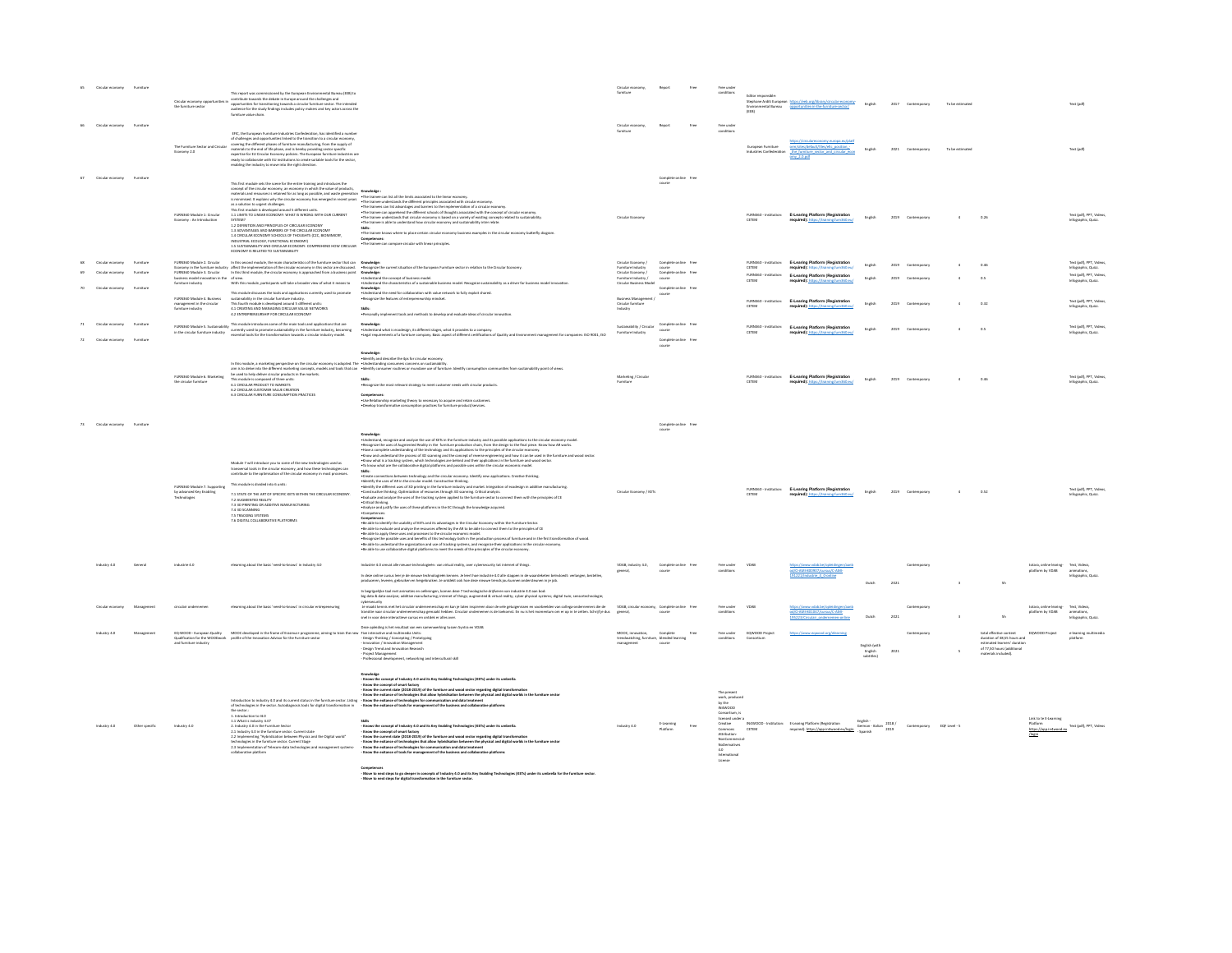|                  |           | Circular economy opportunities in<br>the furniture sector                     | This report was commissioned by the European Environmental Bureau (EEB) to<br>contribute towards the debate in Europe around the challenges and<br>opportunities for transitioning towards a circular furniture sector. The intended<br>audience for the study findings includes policy makers and key actors acro<br>furniture value chain.                                                                                                                                                                                                                                                                                                                                          |                                                                                                                                                                                                                                                                                                                                                                                                                                                                                                                                                                                                                                                                                                                                                                                                                                                                                                                                                                                                                                                                                                                                                                                                                                                                                                                                                                                                                                                                                                                                                                                                                                                                                                                                                                                                                                                                                                                                                                                                  |                                                                              |                                  |      | Free under<br>conditions                                                                                                                                                          | Editor responsible:                    | Stephane Arditi European https://eeb.org/library/circular-economy-<br>Environmental Bureau opportunities-in-the-fumiture-sector/ English |                            | 2017 Contemp |                   |                 |                                                                                                                |                                                        |                                                         |
|------------------|-----------|-------------------------------------------------------------------------------|---------------------------------------------------------------------------------------------------------------------------------------------------------------------------------------------------------------------------------------------------------------------------------------------------------------------------------------------------------------------------------------------------------------------------------------------------------------------------------------------------------------------------------------------------------------------------------------------------------------------------------------------------------------------------------------|--------------------------------------------------------------------------------------------------------------------------------------------------------------------------------------------------------------------------------------------------------------------------------------------------------------------------------------------------------------------------------------------------------------------------------------------------------------------------------------------------------------------------------------------------------------------------------------------------------------------------------------------------------------------------------------------------------------------------------------------------------------------------------------------------------------------------------------------------------------------------------------------------------------------------------------------------------------------------------------------------------------------------------------------------------------------------------------------------------------------------------------------------------------------------------------------------------------------------------------------------------------------------------------------------------------------------------------------------------------------------------------------------------------------------------------------------------------------------------------------------------------------------------------------------------------------------------------------------------------------------------------------------------------------------------------------------------------------------------------------------------------------------------------------------------------------------------------------------------------------------------------------------------------------------------------------------------------------------------------------------|------------------------------------------------------------------------------|----------------------------------|------|-----------------------------------------------------------------------------------------------------------------------------------------------------------------------------------|----------------------------------------|------------------------------------------------------------------------------------------------------------------------------------------|----------------------------|--------------|-------------------|-----------------|----------------------------------------------------------------------------------------------------------------|--------------------------------------------------------|---------------------------------------------------------|
|                  |           | The Furniture Sector and Circular<br>Economy 2.0                              | EFIC, the European Furniture Industries Confederation, has identified a number<br>of challenges and opportunities linked to the transition to a circular economy covering the different phases of furniture manufacturing, from the supply of<br>materials to the end of life phase, and is hereby providing sector specific experition for EU Circular Economy policies. The European function is near ready to collaborate with EU institutions to create suriable tools for                                                                                                                                                                                                        |                                                                                                                                                                                                                                                                                                                                                                                                                                                                                                                                                                                                                                                                                                                                                                                                                                                                                                                                                                                                                                                                                                                                                                                                                                                                                                                                                                                                                                                                                                                                                                                                                                                                                                                                                                                                                                                                                                                                                                                                  |                                                                              |                                  |      | Free unde<br>conditions                                                                                                                                                           | European furniture                     | prm/sites/default/files/efic_position -<br>Industries Confederation the furniture sector and circular econ<br>$2.0$ pdf                  | Emelish                    | 2021         |                   | To be estimated |                                                                                                                |                                                        | Text (odf)                                              |
|                  |           | FURN360 Module 1: Circular<br>Economy : An Introduction                       | This first module sets the scene for the entire training and introduces the<br>concept of the circular economy, an economy in which the value of products.<br>This first module is developed around 5 different units<br>1.1 LIMITS TO LINEAR ECONOMY: WHAT IS WRONG WITH OUR CURRENT SYSTEM?<br>1.2 DEFINITION AND PRINCIPLES OF CIRCULAR ECONOMY<br>1.3 ADVANTAGES AND BARRERS OF THE ORDER AR ECONOMY<br>1.3 AU VAN LAGES AND BARRENS OF THE UNCOLAR ECONOMIT<br>1.4 CIRCULAR ECONOMY SCHOOLS OF THOUSHTS (C2C, BIOMIMICRY,<br>INDUSTRIAL ECOLOGY, FUNCTIONAL ECONOMY)<br>1.5 SUSTAINABILITY AND CIRCULAR ECONOMY: COMPREHEND HOW CIRCULAR<br>ECONOMY IS RELATED TO SUSTAINABILITY | concept of the circular economy, an economy has the of products,<br>In minimista: Tequism why the circular economy has energy in minimista and the state of the limits associated to the linear economy.<br>In minimista: Tequism wh<br>-The trainee can apprehend the different schools of thoughts associated with the concept of circular economy.<br>- The trainee understands that circular economy is based on a variety of existing concepts related to sustainabi<br>The trainee is able to understand how circular economy and sustainability inter relate<br>Skills:<br>. The trainee knows where to place certain circular economy business examples in the circular economy butterfly diagram.<br>Competences:<br>. The trainee can compare circular with linear principles.                                                                                                                                                                                                                                                                                                                                                                                                                                                                                                                                                                                                                                                                                                                                                                                                                                                                                                                                                                                                                                                                                                                                                                                                         | Circular Free                                                                | Complete online free             |      |                                                                                                                                                                                   |                                        | <b>E-Learing Platform (Regis</b>                                                                                                         |                            |              |                   |                 |                                                                                                                |                                                        | Test (pdf), PPT, Video<br>Infographic, Quizz.           |
| Circular economy | Furniture | FURN360 Module 2. Circular                                                    | In this second module, the main characteristics of the furniture sector that can Knowledge:                                                                                                                                                                                                                                                                                                                                                                                                                                                                                                                                                                                           | Economy in the furniture industry affect the implementation of the circular economy in this sector are discussed.<br>Fixtured the company in this this module, the circular economy in approached from a business point. Knowledg                                                                                                                                                                                                                                                                                                                                                                                                                                                                                                                                                                                                                                                                                                                                                                                                                                                                                                                                                                                                                                                                                                                                                                                                                                                                                                                                                                                                                                                                                                                                                                                                                                                                                                                                                                | Circular Economy /<br>Furniture Industry                                     | Complete online free             |      |                                                                                                                                                                                   | CETEM                                  | FURN360 - Institution: E-Learing Platform (Registration<br><b>NAD and</b>                                                                | English                    | 2019         |                   |                 | 0.46                                                                                                           |                                                        | Text (pdf), PPT, Videos,<br>Infographic, Quizz.         |
|                  |           | business model innovation in the of view.<br>fumiture industry                | With this module, participants will take a broader view of what it means to                                                                                                                                                                                                                                                                                                                                                                                                                                                                                                                                                                                                           | . Understand the concept of business mode<br>-Understand the characteristics of a sustainable business model. Recognize sustainability as a driver for business model innovation                                                                                                                                                                                                                                                                                                                                                                                                                                                                                                                                                                                                                                                                                                                                                                                                                                                                                                                                                                                                                                                                                                                                                                                                                                                                                                                                                                                                                                                                                                                                                                                                                                                                                                                                                                                                                 | Circular Economy /<br>umiture Industry /<br>Circular Business Model          | Complete online<br>course        |      |                                                                                                                                                                                   | FURN360<br>CETEM                       | <b>E-Learing Platform (Regist</b>                                                                                                        |                            |              |                   |                 |                                                                                                                |                                                        | Text (pdf), PPT, Video<br>Infographic, Quizz.           |
|                  |           | FURN360 Module 4. Business<br>management in the circular<br>fumiture industry | This module discusses the tools and applications currently used to promote<br>sustainability in the circular furniture industry.<br>This fourth module is developed around 5 different units:<br>4.1 CREATING AND MANAGING CIRCULAR VAL<br>4.2 ENTREPRENEURSHIP FOR CIRCULAR ECONOMY                                                                                                                                                                                                                                                                                                                                                                                                  | Knowledge:<br>. Understand the need for collaboration with value network to fully exploit shared<br>. Recognize the features of entrepreneurship mindset.<br><b>Skille</b><br>. Personally implement tools and methods to develop and evaluate ideas of circular in                                                                                                                                                                                                                                                                                                                                                                                                                                                                                                                                                                                                                                                                                                                                                                                                                                                                                                                                                                                                                                                                                                                                                                                                                                                                                                                                                                                                                                                                                                                                                                                                                                                                                                                              | <b>Business Management /</b><br>Circular furniture<br>Industry               | Complete option - Free<br>course |      |                                                                                                                                                                                   | FURN360 - Institution<br>CETEM         | <b>E-Learing Platform (Regi</b>                                                                                                          |                            | 2019         |                   |                 | 0.32                                                                                                           |                                                        | Text (pdf), PPT, Video<br>Infographic, Quizz.           |
|                  |           |                                                                               | FURN360 Module 5. Sustainability This module introduces some of the main tools and applications that are<br>in the circular furniture industry currently seed to promote sustainability in the furniture industry, becoming<br>in th                                                                                                                                                                                                                                                                                                                                                                                                                                                  | Knowledge<br>•Lindentand what is ecodesign, its different stages, what it provides to a company.<br>•Legal requirements of a furniture company. Basic aspect of different certifications of Quality and Environment management for companies:                                                                                                                                                                                                                                                                                                                                                                                                                                                                                                                                                                                                                                                                                                                                                                                                                                                                                                                                                                                                                                                                                                                                                                                                                                                                                                                                                                                                                                                                                                                                                                                                                                                                                                                                                    | Sustainability / Circular<br><b>Furniture Industry</b>                       | Complete online free             |      |                                                                                                                                                                                   | FURN360 - Institution:<br>ceresa       | E-Learing Platform (Registration                                                                                                         | Freisch                    |              | 2019 Contemporary |                 | 0.5                                                                                                            |                                                        | Text (odf), PPT, Videos<br>Infographic, Quizz.          |
|                  |           | FURN360 Module 6. Marketing<br>the circular furniture                         | In this module, a marketing perspective on the circular economy is adopted. The - Understanding consumers concerns on sustainability<br>This module is composed of three units<br>6.1 CIRCULAR PRODUCT TO MARKETS<br>6.2 CIRCULAR CUSTOMER VALUE CREATION<br>6.3 CIRCULAR FURNITURE CONSUMPTION PRACTICES                                                                                                                                                                                                                                                                                                                                                                             | <b>Cnowledge:</b><br>Identify and describe the 4ps for circular economy.<br>aim is to date into the different marketing concepts, models and tools that can vidently consumer routines or mundate use of furniture. Identify consumption communities from sustainability point of views<br>be used to help de<br>. Recognize the most relevant strategy to meet customer needs with circular products.<br>$Competences:$<br>. Use Relationship marketing theory to necessary to acquire and retain customers<br>· Develop transformative consumption practices for furniture product/services.                                                                                                                                                                                                                                                                                                                                                                                                                                                                                                                                                                                                                                                                                                                                                                                                                                                                                                                                                                                                                                                                                                                                                                                                                                                                                                                                                                                                   | Marketing / Circular<br>Furniture                                            |                                  |      |                                                                                                                                                                                   |                                        | E-Learing Platform (Registra                                                                                                             |                            |              |                   |                 |                                                                                                                |                                                        | Text (pdf), PPT, Video<br>Informathic, Quizz,           |
| Circular economy |           |                                                                               |                                                                                                                                                                                                                                                                                                                                                                                                                                                                                                                                                                                                                                                                                       |                                                                                                                                                                                                                                                                                                                                                                                                                                                                                                                                                                                                                                                                                                                                                                                                                                                                                                                                                                                                                                                                                                                                                                                                                                                                                                                                                                                                                                                                                                                                                                                                                                                                                                                                                                                                                                                                                                                                                                                                  |                                                                              | Complete online Free<br>course   |      |                                                                                                                                                                                   |                                        |                                                                                                                                          |                            |              |                   |                 |                                                                                                                |                                                        |                                                         |
|                  |           | FURN360 Module 7. Supporting<br>by advanced Key Enabling<br>Technologies      | Module 7 will introduce you to some of the new technologies used as<br>transversal tools in the circular economy, and how these technologies can contribute to the optimisation of the circular economy in most processes.<br>This module is divided into 6 units:<br>7.1 STATE OF THE ART OF SPECIFIC KETS WITHIN THE CIRCULAR ECONOMY.<br>7.2 AUGMENTED REALITY<br>7.3 3D PRINTING OR ADDITIVE MANUFACTURING<br>7.4 3D SCANNING<br>7.5 TRACKING SYSTEMS<br>7.6 DIGITAL COLLABORATIVE PLATFORMS                                                                                                                                                                                      | Knowledge:<br>. Understand, recognize and analyze the use of KETs in the furniture industry and its possible applications to the circular economy model<br>*Recognize the uses of Augmented Reality in the furniture production chain, from the design to the final piece. Know how Alt works.<br>*Have a complete understanding of the technology and its applications to the principles of<br>Know what is a tracking system, which technologies are behind and their applications in the furniture and wood sector.<br>- To know what are the collaborative digital platforms and possible uses within the circular economic model.<br>. Create connections between technology and the circular economy. Identify new applications. Creative thinking.<br>Identify the uses of AR in the circular model. Constructive thinking.<br>-womary aw weak with a structure model consumer unitable.<br>Hometry the different uses of 3D printing in the fundture industry and market. Integration of ecodesign in additive manufacturing.<br>•Constructive thinking, Optimizat<br>. Evaluate and analyze the uses of the tracking system applied to the furniture sector to connect them with the principles of CE<br>· Critical thinking.<br>Analyse and justify the uses of these platforms in the EC through the knowledge acquired<br>Competences:<br>Competences:<br>-Be able to identify the usability of KETs and its advantages in the Circular Economy within the Furniture Sector.<br>-Be able to evaluate and analyse the resources offered by the AR to be able to connect them to the principl<br>Recognize the possible uses and benefits of this technology both in the production process of furniture and in the first transformation of wood.<br>-Be able to understand the organization and use of tracking systems, and recognize their applications in the circular economy.<br>-Be able to use collaborative digital platforms to meet the needs of the principles of the circ | Circular Economy / KETs                                                      |                                  |      |                                                                                                                                                                                   |                                        | <b>E-Learing Platform (Registry</b>                                                                                                      |                            |              |                   |                 |                                                                                                                |                                                        | Text (pdf), PPT, Vid<br>nfographic, Quizz.              |
|                  |           | ndustrie 4.0                                                                  | elearning about the basic 'need-to-knows' in Industry 4.0                                                                                                                                                                                                                                                                                                                                                                                                                                                                                                                                                                                                                             | Industrie 4.0 omvat alle nieuwe technologieën: van virtual reality, over cybersecurity tot internet of things.                                                                                                                                                                                                                                                                                                                                                                                                                                                                                                                                                                                                                                                                                                                                                                                                                                                                                                                                                                                                                                                                                                                                                                                                                                                                                                                                                                                                                                                                                                                                                                                                                                                                                                                                                                                                                                                                                   | VDAB, industry 4.0,                                                          | Complete online                  |      |                                                                                                                                                                                   |                                        | VO AMI-800907/cursus/C-AMI                                                                                                               |                            |              |                   |                 |                                                                                                                | totara, online learing- Text, Vide<br>platform by VDAB | animation                                               |
|                  |           |                                                                               | ning about the basic 'need-to-knows' in circular er                                                                                                                                                                                                                                                                                                                                                                                                                                                                                                                                                                                                                                   | In deze online cursus leer je de nieuwe technologieën kennen. Je leert hoe industrie 4.0 alle stappen in de waardeketen beïnvloedt: verlangen, bestellen<br>produceren, leveren, gebruiken en hergebruiken. Je ontdekt ook hoe deze nieuwe trends jou kunnen ondersteunen in je job.<br>begripelijke taal met animaties en oefeningen, komen deze 7 technologische drijfveren van industrie 4.0 aan bod<br>big data & data-analyse; additive manufacturing; internet of things; augmented & virtual reality; cyber physical systems; digital twin; sensortechnologie;<br>covenciances met het circulair ordememerschap en kan je laten isspireen door de vela getagenissen en voorbeelden van collega-ondernemers die de VDAB, circulair onder VDAB, circulair of the VDAB, circulair of the VDAB, circ                                                                                                                                                                                                                                                                                                                                                                                                                                                                                                                                                                                                                                                                                                                                                                                                                                                                                                                                                                                                                                                                                                                                                                                          | VDAB, circular economy, Complete online                                      |                                  |      |                                                                                                                                                                                   |                                        | 191221/Industrie 4 O-online<br>pd/O-AMI-801047/cursus/C-AMI-                                                                             | Dutch                      | 2021         |                   |                 |                                                                                                                | platform by VDAB                                       | Informablic, Quizz<br>animations,<br>Infographic, Quizz |
|                  |           | EQ-WOOD - European Quality<br>and furniture industry                          | MOOC developed in the frame of Erasmus+ programme, aiming to train<br>Qualification for the WOODwork profile of the Innovation Advisor for the Furniture sector                                                                                                                                                                                                                                                                                                                                                                                                                                                                                                                       | Deze opleiding is het resultaat van een samenwerking tussen Syntra en VDAB.<br>Five interactive and multimedia Units:<br>- Design Thinking / Concepting / Prototyping<br>Innovation / Innovation Management<br>Design Trend and Innovation Research                                                                                                                                                                                                                                                                                                                                                                                                                                                                                                                                                                                                                                                                                                                                                                                                                                                                                                                                                                                                                                                                                                                                                                                                                                                                                                                                                                                                                                                                                                                                                                                                                                                                                                                                              | MOOC, innovation,<br>trendwatching, furniture, blended learning<br>managaman | Complete<br>course               |      |                                                                                                                                                                                   |                                        |                                                                                                                                          | English (with              | 2021         |                   |                 | cotal effective content<br>duration of 38,55 hours and<br>estimated learners' duration<br>of 77,50 hours (add) |                                                        | e-learning mu<br>olatform                               |
|                  |           | Industry 4.0                                                                  | Introduction to industry 4.0 and its current status in the furniture sector. Listing - Know the exitance of technologies for communication and data treatment<br>1. Introduction to 14.0<br>1.1 What is industry 4.0?<br>2. Industry 4.0 in the Furniture Sector<br>2.1 Industry 4.0 in the furniture sector. Current state<br>2.1 Industry 4.0 in the furniture sector. Current state<br>2.2 Implementing "Hybridization between Physics and the Digital world"<br>technologies in the furniture sector. C<br>2.3 Implementation of Telecom-data technologies and management systems-<br>collaborative platform                                                                      | Project Management<br>Professional development, networking and intercultural skill<br>Knowledge<br>- Knows the concept of Industry 4.0 and its Key Enabling Technologies (KETs) under its umbrella.<br>- Know the concept of smart factory<br>"suow use custepe us assessed and the furniture and wood sector regarding digital transformation<br>- Know the current state (2018-2019) of the furniture and wood sector regarding digital worlds in the furniture sector<br>- Know<br>of technologies in the sector. Autodiagnosis tools for digital transformation in - Know the exhance of tools for management of the business and collaborative platforms<br>the sector:<br>- Knows the concept of Industry 4.0 and its Key Enabling Technologies (KETs) under its umbrella.<br>- Know the concept of smalls theory was its way knowing, inclinangula (ex.is) under its unionistic.<br>- Know the concept of smart factory<br>- Know the current state (2018-2019) of the furniture and wood sector regarding digita<br>- Know the exitence of technologies that allow hybridiasion between the physical and digital worlds in the furniture sector<br>- Know the exitence of technologies for communication and data treatment<br>- Know the exitence of to<br>Competences                                                                                                                                                                                                                                                                                                                                                                                                                                                                                                                                                                                                                                                                                                                  | Industry 4.0                                                                 | Edwarning                        | From | The present<br>work, produced<br>by the<br>IN4WOOD<br>licensed under a<br>Creative<br>Commons<br>Attribution<br>NonCommercial<br>NoDerivatives<br>4.0<br>International<br>License | IN4WOOD - Institution:<br><b>CETEM</b> | E-Learing Platform (Registration)                                                                                                        | English<br>naikat . namnah | 2018/        | Contemporary      | EQF Level - S   | naterials included                                                                                             | Link to te E-Learning<br>Platform<br>https://app       | mood eu Text (pdf), PPT, Videos                         |

Competences<br>- Move to mext steps to go deeper in concepts of Industry 4.0 and its Key Enabling Technologies (KETs) under its umbrella for the furniture sector.<br>- Move to next steps for dieltal transformation in the furnitu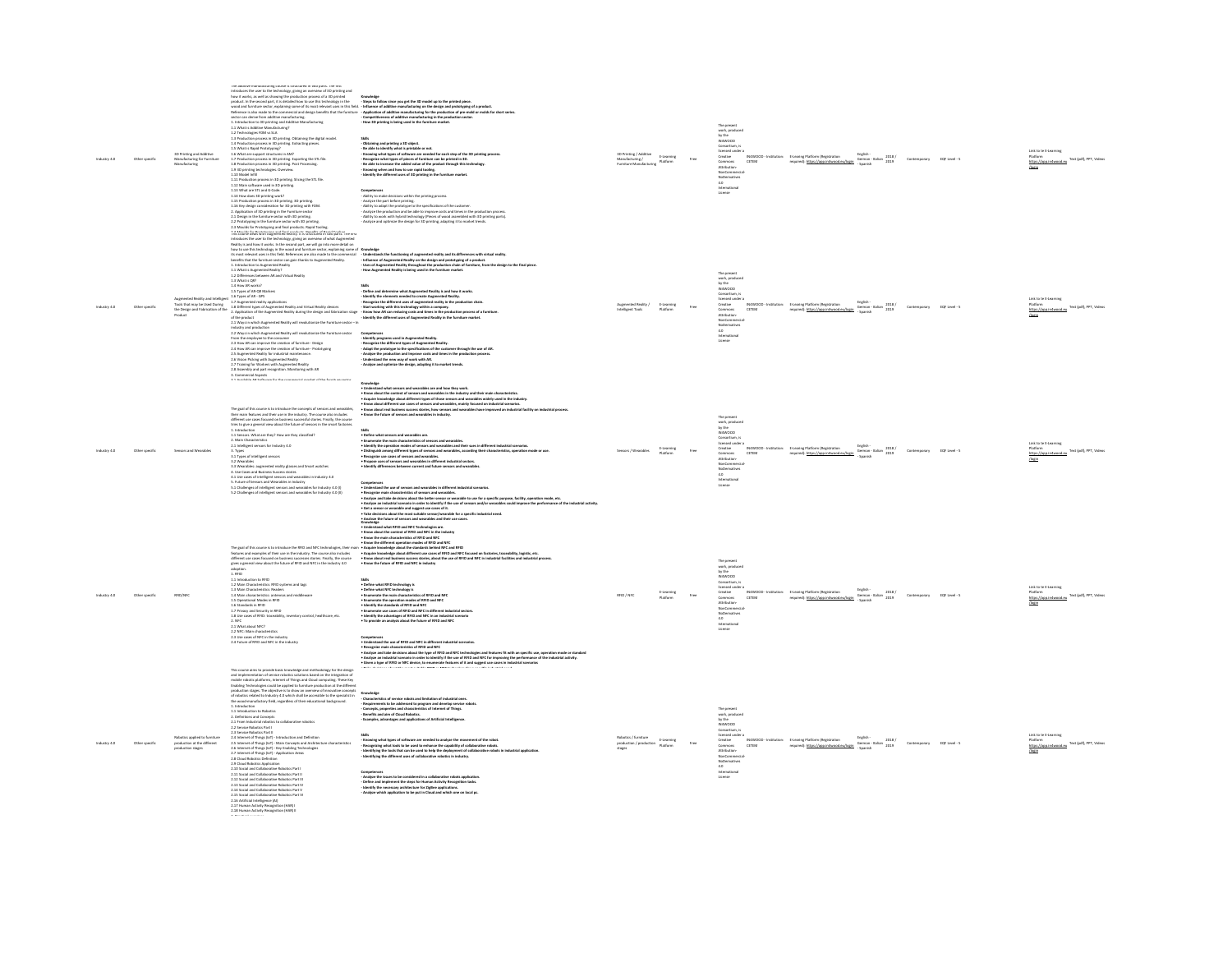|                | <b>3D Printing and Additive</b><br>Manufacturing for Furniture<br>Manufacturing   | The additive manufacturing course is structured in two parts. The first during and introduces the user to the technology, giving an overview of 3D printed how it would be showing the production process of a 3D printed pro<br>2-7 Procession process in all primary, Leonaurig process<br>1.5 What is Rapid Prototyping?<br>1.6 What are support structures in AM?<br>1.7 Production process in 3D priming. Post Processing.<br>1.8 Production process in 3D priming. Po<br>1.9 3D printing technologies. Overview.<br>1.10 Model Infill<br>1.10 Model imm<br>1.11 Production process in 3D printing. Slicing the STL file.<br>1.12 Main software used in 3D printing.<br>1.13 What are STL and G-Code.<br>1.14 How does 3D printing work?<br>1.15 Production process in 3D printing. 3D printing.<br>1.16 Key design consideration for 3D printing with FDM.<br>2. Application of 3D printing in the Furniture sector<br>2.1 Design in the fumiture sector with 3D printing.<br>2.2 Prototyping in the furniture sector with 3D printing.<br>2.3 Moulds for Prototyping and final products. Rapid Tooling.                                                                                                                                                                                                                                                                                               | - Steps to follow since you get the 3D model up to the printed piece<br>products in the asset party it is detected by the third behavior and the state of the particle in the state of the state of the state of the state of the state of the state of the state of the state of the state of the st<br>Skills<br>- Oblaining and printing a 3D object.<br>- Bu ade to blantify what is printable or not.<br>- Knowing what types of alphares are needed for each step of the 3D printing process.<br>- Recognize what types of pleces of furthere<br>-<br>Knowing when and how to use rapid tooling.<br>- Identify the different uses of 3D printing in the furniture market.<br><b>Competences</b><br>- Ability to make decisions within the printing process.<br>- Analyze the part before printing.<br>- Analyze the part before printing.<br>- Analyze the port before printing.<br>- Analyze the production and be able to improve costs and times in the production process.<br>- Ability to work with<br>- Analyze and optimize the design for 3D printing, adapting it to market trends.       | 3D Printing / Additive<br>Manufacturing /<br>umiture Manufacturine | E-Learning<br>Platform | The present<br>work, produced<br>by the<br>IN4WOOD<br>Consortium.<br>censed under a<br>IN4WOOD - Institution:<br>Creative<br>Commons<br>CETEM<br>Attribution-<br>NonCommercia<br>NoDerivatives<br>License                | E-Learing Platform (Registration<br>required): https://app.in4wood.eu/loain | English -<br>German - Italian 2018 /                                                                                                            | Contemporary               | EQF Level - 5 | Text (pdf), PPT, Videos                                                            |
|----------------|-----------------------------------------------------------------------------------|--------------------------------------------------------------------------------------------------------------------------------------------------------------------------------------------------------------------------------------------------------------------------------------------------------------------------------------------------------------------------------------------------------------------------------------------------------------------------------------------------------------------------------------------------------------------------------------------------------------------------------------------------------------------------------------------------------------------------------------------------------------------------------------------------------------------------------------------------------------------------------------------------------------------------------------------------------------------------------------------------------------------------------------------------------------------------------------------------------------------------------------------------------------------------------------------------------------------------------------------------------------------------------------------------------------------------------------------------------------------------------------------------------------|----------------------------------------------------------------------------------------------------------------------------------------------------------------------------------------------------------------------------------------------------------------------------------------------------------------------------------------------------------------------------------------------------------------------------------------------------------------------------------------------------------------------------------------------------------------------------------------------------------------------------------------------------------------------------------------------------------------------------------------------------------------------------------------------------------------------------------------------------------------------------------------------------------------------------------------------------------------------------------------------------------------------------------------------------------------------------------------------------------|--------------------------------------------------------------------|------------------------|--------------------------------------------------------------------------------------------------------------------------------------------------------------------------------------------------------------------------|-----------------------------------------------------------------------------|-------------------------------------------------------------------------------------------------------------------------------------------------|----------------------------|---------------|------------------------------------------------------------------------------------|
|                | Product                                                                           | 1.5 Types of AR-QR Markers<br>of the product<br>2.1 Ways in which Augmented Reality will revolutionize the furniture sector -- In industry and production<br>nuousy and pussessions<br>2.2 Ways in which Augmented Reality will revolutionize the Furrit<br>From the employee to the consumer<br>2.3 How AR can improve the coastion of furniture - Design<br>2.4 How AR can improve the creation o<br>2.5 Augmented Reality for industrial maintenance.<br>2.5 Vision Picking with Augmented Reality<br>2.5 Vision Picking with Augmented Reality<br>2.3 Assembly and part recognition. Monitoring with AR<br>3. Commercial Aspects $\begin{array}{lll} \multicolumn{3}{l}{{\small\textrm{3.6}}}\end{array}$<br>$\multicolumn{3}{l}{\small\textrm{4.6}}\end{array}$                                                                                                                                                                                                                                                                                                                                                                                                                                                                                                                                                                                                                                         | 2.2 Destroyer in South of products, when course the simulation terms of the state of the state of the state of<br>2.3 Destroyer in the background product of the state Apple of the state of the state of the state of the state<br>Skills<br>- Define and determine what Augmented Iteality is and how it works.<br>Augmented Rusing and The System of the Con-<br>The System of the Constantine of the Constantine of the Constantine of the Constantine of the Augmented Rusin<br>The Constantine of the Constantine of Augmental Rusing and Virtual R<br>- Identify the different uses of Ausmented Reality in the furniture market.<br>Competences<br>- identify programs used in Augmented Reality.<br>- Recognize the different types of Augmented Reality.<br>- Adapt the prototype to the specifications of the customer through the use of AR.<br>- Analyze the production a<br>Analyze the processors and migrore some and concern time.<br>Understand the new way of work with AR.<br>Analyze and optimize the design, adapting it to market trends                                          | iligent Tools                                                      | E-Learning<br>Platform | The presen<br>work, produced<br>by the<br>IN4WOOD<br>Consortium, is<br><b>licensed</b> under a<br>Creative<br>Commons<br>Attribution-<br>CETEM<br>NonCommercial<br>NoDerivative<br>4.0<br>hternational                   | E-Learing Platform (Registration<br>required): https://app.in4wood.eu/login | $\begin{array}{c} \mbox{English} \cr \mbox{German-halian} \cr \mbox{2018} \end{array} \begin{array}{c} \mbox{2018} \cr \mbox{2019} \end{array}$ | Contemporary EQF Level - 5 |               | Link to te E-Learning<br>Fest (pdf), PPT, Videos                                   |
|                |                                                                                   | The goal of this course is to introduce the concepts of sensors and wearables,<br>their main features and their use in the industry. The course also includes<br>different use cases focused on business successful stories. Finally<br>tries to give a general view about the future of sensors in the smart factories.<br>1.1 Sensors. What are they? How are they classified?<br>2. Main Characteristics<br>1 Intelligent sensors for Industry 4.0<br>3.1 Types of intelligent sensors<br>3.2 Wearables<br>2.4 versus constants and the state of the state of Smart watches<br>4. Use Cases and Business Success stories<br>4.2 Use Cases and Business Success stories<br>4.2 Use cases of intelligent sensors and Wearables in Industry 4.0<br>5.1 Challenges of intelligent sensors and wearables for Industry 4.0 (1) $5.2$ Challenges of intelligent sensors and wearables for Industry 4.0 (1)                                                                                                                                                                                                                                                                                                                                                                                                                                                                                                       | Konstelaja<br>– v Lodonizacije tehni sensor and sevantikin are ned kons they work.<br>– v Lodonizacije de sensore of sensor ned sevantika in the selectry and their main characteristics.<br>– k Goue about different cast case of area<br>-Pade a akt arrange and wareholds and<br>- Extending the arrange content of terminal parameters and wareholds.<br>- Extending the arrange channel and constructed and the content of the class of the channel industrial constan<br>- E<br>Competences<br>• Understand the use of sensors and wearables in different industrial scenarios.<br>. Recognize main characteristics of sensors and wearables.<br>* newspare mem cuma emusta an emusta and wearance we.<br>* Analyze and take decisions about the better sensor or wearable to use for a specific purpose, facility, operation mode, etc.<br>* Analyze an industrial scenario in order<br>. Get a sensor or wearable and suggest use cases of it.<br>. Take decisions about the most suitable sensor/wearable for a specific industrial need.                                                       |                                                                    | Platform               | The present<br>work, produced<br>by the<br>IN4WOOD<br>Conceptions i<br>Conservum, is<br>licensed under a<br>Creative<br>Commons<br>CETEM<br>Attribution-<br>NonCommercia<br>NoDerivatives<br>4.0<br>International        | E-Learing Platform (Registration<br>required): https://app.in4wood.eu/loain | Serman - Italian<br>2019                                                                                                                        | Contemporary               | EQF Level - 5 | <b>Matform</b><br>Fest (pdf), PPT, Videor                                          |
| Other specific | RFID/NFC                                                                          | The goal of this course is to introduce the RFID and NFC technologies, their neatures and examples of their use in the industry. The course also includes<br>different use cases focused on business successes stories. Finally, the course<br>gives a general view about the future of RFID and NFC in the industry 4.0<br>1.8FD<br>1. Introduction to RFID<br>1.2 Main Characteristics: RFID systems and tags<br>1.3 Main Characteristics: Readers<br>1.4 Main characteristics: antennas and middleware<br>1.5 Operational Modes in RFID<br>1.6 Standards in RFID<br>1.7 Privacy and Security in RFID<br>1.8 Use cases of RFID: traceability, inventory control, healthcare, etc.<br>2. NFC<br>2.1 What about NFC?<br>2.3 NFC: Main characteristics<br>2.3 Use cases of NFC in the industry<br>2.4 Future of RFID and NFC in the industry                                                                                                                                                                                                                                                                                                                                                                                                                                                                                                                                                                  | "I she decisions about the rest at addition surrounded for a profit: bidutiful met.<br>Considerably the first of interaction surrounded are:<br>$\sim$ Universal with a HD and SC and SC and SC and SC and SC and SC and SC and SC an<br>. Know the future of RFID and NFC in industry<br>Skills<br>+ Define what RFID technology is<br>+ Define what NFC technology is<br>+ Enumerate the main characteristics of RFID and NFC<br>. Enumerate the operation modes of RFID and NFC<br>. Identify the standards of BEID and NEC<br>Summary one stambares or MPID and NFC in different industrial sectors<br>• Ensmerate use cases of RFID and NFC in different industrial sectors<br>• Identify the advantages of RFID and NFC in an industrial scenario<br>• To provide a<br>Competences<br>• Understand the use of RFID and NFC in different industrial scenarios.<br>- Disconsion use we we would be the Discount of the Conservation and the Michael Michael Disconsisters and characteristics of MTD and MC<br>- Ascorption made that decisions about the type of MTD and MC technologies and featur | <b>RFID / NFC</b>                                                  | E-Learning<br>Platform | The present<br>work, produced<br>by the<br><b>NAWOOD</b><br><b>licensed under a</b><br>Creative<br>IN4WOOD - Institution:<br>Commons<br>CETEM<br>Attribution<br><b>ConComme</b><br>NoDerivatives<br>4.0<br>International | E-Learing Platform (Registration<br>required: https://app.in4wood.eu/loain  | English<br>German - Italian $\frac{2018}{n\alpha}$<br><b>Counid</b>                                                                             | Contemporary EQF Level - S |               | Link to te E-Learning<br>Platform<br>Text (pdf), PPT, Videor<br>https://app.in4w   |
| Other specific | Robotics applied to furniture<br>production at the different<br>production stares | i nos course arms to proviou oasic snowwapy and methodology for the oneign<br>and implementation of severe individuals solutions based on the integration of<br>mobile robotic platforms, internet of Things and Cloud computing. Th<br>production stages. The objective is to show an overview of innovative concepts<br>of robotics related to Industry 4.0 which shall be accessible to the specialist in<br>the wood-manufactory field, regardless of their educational background.<br>the wood-manufactory field<br>1. Introduction<br>1.1 Introduction to Robotics<br>2. Definitions and Concepts<br>2.1 From Industrial robotics to collaborative robotics<br>2.2 Service Robotics Part I<br>2.3 Service Robotics Part II<br>2.3 Service Robotics Part II<br>2.4 Internet of Things (bd') - Introduction and Definition<br>2.5 Internet of Things (bd') - Main Concepts and Architecture characteristics<br>2.6 Internet of Things (IoT) - Key Enabling Technologies<br>2.2 Internet of Things (loT) - Application Areas<br>2.3 Cloud Robotics Definition<br>2.9 Cloud Robotics Application<br>2.10 Social and Collaborative Robotics Part<br>2.11 Social and Collaborative Robotics Part II<br>2.12 Social and Collaborative Robotics Part III<br>2.13 Social and Collaborative Robotics Part IV<br>2.13 Social and Collaborative Robotics Part IV<br>2.15 Social and Collaborative Robotics Part VI | Knowledge<br>- Characteristics of service robots and limitation of industrial ones.<br>- Requirements to be addressed to program and develop service robots.<br>- Concepts, properties and characteristics of internet of Things.<br>- Ben<br>- Examples, advantages and applications of Artificial Intelligence.<br>ansure what types of software are needed to analyze the movement of the robot.<br>- Rocognizing what took to be used to enhance the capability of collaborative robots.<br>- Identifying the took that can be used to help the deplo<br>Identifying the different uses of collaborative robotics in industry.                                                                                                                                                                                                                                                                                                                                                                                                                                                                       | production / production                                            | Platform               | The present<br>work, produced<br>by the<br>IN4WOOD<br>Consortium.<br>Scienced under a<br>Creative<br>Commons<br>CETEM<br>Attribution-<br>NonCommercia<br>NoDerivatives<br>4.0<br>Internationa<br>License                 | required): https://app.infwood.eu/login semi-                               | English<br>English -<br>German - Italian - 2018 /<br>- Consider - 2019                                                                          | Contemporary EQF Level - 5 |               | Link to te E-Lear<br>Platform<br>Text (pdf), PPT, Videos<br>https://app.in4wood.eu |

2.15 Social and Collaborative Robotics Part VI<br>2.16 Artificial Intelligence (AI)<br>2.17 Human Activity Recognition (HAR) I<br>2.18 Human Activity Recognition (HAR) II<br>3. Resolved exercises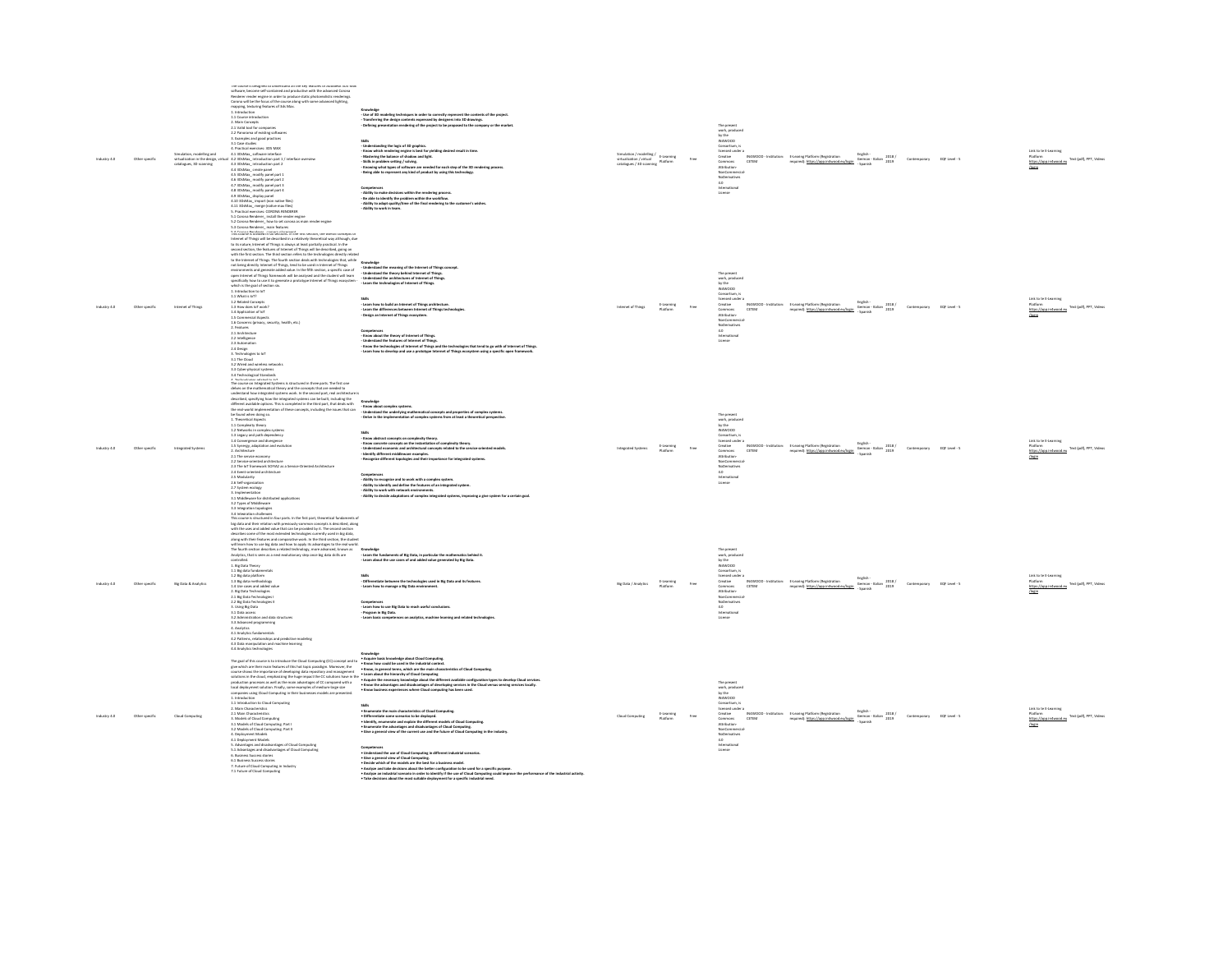| ustry 4.0 | Other specific | Simulation, modelling and<br>catalogues, 3D scanning | The course is designed to understand all the key teatures of Autodesk 3DS Max<br>software, become self-contained and productive with the advanced Corona<br>Renderer render engine in order to produce static photorealistic renderings.<br>Corona will be the focus of the course along with some advanced lighting.<br>mapping, texturing features of 3ds Mixe<br>1. Introduction<br>1.1 Course introduction<br>2. Main Concepts<br>2.1 Valid tool for companies<br>2.2 Panorama of existing softwares<br>3. Examples and good practices<br>3.1 Case studies<br>4.1 Practical exercises: 3DS MAX<br>4.1 3DsMax_software interface<br>virtualization in the design, virtual 4.2 3DsMax_introduction part 1 / interface overview<br>4.3 3DsMax_introduction part 2<br>4.4 3DsMax_create panel<br>4.5 3DsMax_modify panel part 1<br>4.6 3DsMax modify panel part 2<br>4.7 3DsMax_modify panel part 3<br>4.8 3DsMax_modify panel part 4<br>14 Summary monor paints<br>4.10 SDMMx_import (non native files)<br>4.10 SDMMx_import (non native files)<br>4.11 SDMMx_impre (noin what files)<br>5.1 Pactical coordine: tristall the render engine<br>5.1 Corona Renderer_install the re<br>$5.2$ Corona Renderer $\overline{\phantom{a}}$ how to set corona as main render engine $5.3$ Corona Renderer $\overline{\phantom{a}}$ main features | Transferring the design contents expressed by designers into 3D drawings.<br>esentation rendering of the project to be proposed to the company or the market<br>Defining of<br>som<br>- Understanding the logic of 3D graphics.<br>- Know which rendering engine is best for yielding desired result in time.<br>- Mustering the balance of shadow and light.<br>- Skils in problem setting / solving.<br>- Skils in problem setting / solving.<br>- Knowing what types of software are needed for each step of the 3D rendering process.<br>Competences<br>- Ability to make decisions within the rendering process.<br>- Be able to identify the problem within the worldlow.<br>- Ability to adapt quality/time of the final rendering to the customer's wishes.<br>- Ability to wor                                                                                                                                                                                                                   | $\label{eq:multi} \begin{array}{ll} \text{rulation / modeling /} & \text{E-Learning} \\ \text{F-Learning} & \end{array}$<br>virtualization / virtual<br>catalogues / 3D scanning Platform |                        | The present<br>work, produced<br>by the<br>IN4WOOD<br>$\begin{array}{c} \textbf{Consection, is} \\ \textbf{located under a} \end{array}$<br>Creative<br>Commons<br>CETEM<br>Attribution-<br>NonCommercia<br>NoDerivatives<br>4.0<br>htternational<br>License               | IN4WOOD - Institution: E-Learing Platform (Registration<br>required): https://app.in4wood.eu/login | English<br>German - Italian 2018 / Contemporary EQF Level - 5<br>- Spanish               |              |               | Link to te E-Learning<br>https://app.infwcod.eu<br>https://app.infwcod.eu<br>fleele                 |
|-----------|----------------|------------------------------------------------------|------------------------------------------------------------------------------------------------------------------------------------------------------------------------------------------------------------------------------------------------------------------------------------------------------------------------------------------------------------------------------------------------------------------------------------------------------------------------------------------------------------------------------------------------------------------------------------------------------------------------------------------------------------------------------------------------------------------------------------------------------------------------------------------------------------------------------------------------------------------------------------------------------------------------------------------------------------------------------------------------------------------------------------------------------------------------------------------------------------------------------------------------------------------------------------------------------------------------------------------------------------------------------------------------------------------------------------------|-----------------------------------------------------------------------------------------------------------------------------------------------------------------------------------------------------------------------------------------------------------------------------------------------------------------------------------------------------------------------------------------------------------------------------------------------------------------------------------------------------------------------------------------------------------------------------------------------------------------------------------------------------------------------------------------------------------------------------------------------------------------------------------------------------------------------------------------------------------------------------------------------------------------------------------------------------------------------------------------------------------|-------------------------------------------------------------------------------------------------------------------------------------------------------------------------------------------|------------------------|----------------------------------------------------------------------------------------------------------------------------------------------------------------------------------------------------------------------------------------------------------------------------|----------------------------------------------------------------------------------------------------|------------------------------------------------------------------------------------------|--------------|---------------|-----------------------------------------------------------------------------------------------------|
|           | Other specific | Internet of Things                                   | They course is always in sec sections. In the arst section, the overall concepts on<br>Internet of Things will be described in a relatively theoretical way although, due<br>to its nature, internet of Things is always at least pa<br>second section, the features of Internet of Thirps will be described, going on<br>with the first section. The third section refers to the technologies directly reliabed<br>to the Internet of Thirps: The Gurdi note between the l<br>not being directly internet of Thisgs, tend to be used in internet of Things. Understand the meaning of the internet of Things concept.<br>environments and generate added value, in the fifth section, a specific case of the co<br>specifically how to use it to generate a prototype Internet of Things ecosystem -<br>which is the goal of section six.<br>1. Introduction to loT<br>1.1 What is loT?<br>1.2 Related Concepts<br>1.3 How does loT work?<br>1.4 Application of loT<br>1.5 Commercial Aspects<br>1.6 Concerns (privacy, security, health, etc.)<br>2. Features<br>2.1 Architecture<br>2.2 Intelligence<br>2.3 Automation<br>2.4 Design<br>3. Technologies to loT<br>3.1 The Cloud<br>3.2 Wired and wireless networks<br>3.3 Cyber-physical systems<br>3.4 Technological Standards                                                       | - Learn the technologies of Internet of Things.<br>som<br>- Learn how to build an Internet of Things architecture.<br>- Learn the differences between Internet of Things technologies.<br>Design an Internet of Things ecosystem.<br>Competences<br>- Know about the theory of Internet of Things.<br>- A finite of the company of Thines.<br>- Understand the features of Internet of Things.<br>- Know the technologies of Internet of Things and the technologies that tend to go with of Internet of Things.<br>- Learn how to develop and use a prototype Internet of Things ecosystem using a specific open framework.                                                                                                                                                                                                                                                                                                                                                                              | Internet of Things                                                                                                                                                                        | E-Learning<br>Platform | The nessen<br>ine present<br>work, produced<br>by the<br>IN4WOOD<br>$\begin{array}{c} \textbf{Consection, is} \\ \textbf{located under a} \end{array}$<br>Creative<br>Commons<br>Attribution-<br>CETEM<br>NonCommercial<br>NoDerivatives<br>4.0<br>hternational<br>License | IN4WOOD - Institution: E-Learing Platform (Registration<br>required): https://app.in4wood.eu/login | English<br>Cerman - Italian 2018 /<br>German - Italian 2019                              | Contemporary | EQF Level - S | Link to te E-Learning<br>Platform<br>https://asp.infwood.eu Text (pdf), PPT, Videos                 |
|           |                | Integrated Sys                                       | The course on Integrated Systems is structured in three parts. The first one<br>delves on the mathematical theory and the concepts that are needed to<br>understand how integrated systems work. In the second part, real architectu<br>1. Theoretical Aspects<br>1. Interested Agence<br>1.1 Complexity theory<br>1.2 Networks in complex systems<br>1.3 Legacy and path dependency<br>1.4 Convergence and divergence<br>1.5 Synergy, adaptation and evolution<br>2. Architecture<br>2.1 The service economy<br>2.2 Service-oriented architecture<br>2.3 The loT framework SOFIA2 as a Service-Oriented Architecture<br>2.4 Event-oriented architecture<br>2.5 Modularity<br>2.6 Self-organization<br>2.7 System ecology<br>3. Implementation<br>3.1 Middleware for distributed applications<br>3.2 Types of Middleware<br>3.3 Integration topologies                                                                                                                                                                                                                                                                                                                                                                                                                                                                                   | orderical the integritie system was a free weak.<br>Effects and the general complete in the bridget, that dash with<br>the main of the general complete in the bridget, that dash with<br>the main of the general complete integrity in<br>- Delve in the implementation of complex systems from at least a theoretical perspective.<br>- Know abstract concepts on complexity theory.<br>- Know concrete concepts on the instantiation of complexity theory.<br>- Understand economic and architectural concepts related to the service-oriented models.<br>Identify different middleware examples.<br>- Recognize different togologies and their importance for integrated systems<br>Competences<br>- Ability to recognize and to work with a complex system.<br>- Ability to recognize and define the features of an integrated system.<br>- Ability to work with network environments.<br>- Ability to decide adaptations of complex integrated systems, improving a give system for a certain goal. |                                                                                                                                                                                           | E-Learning<br>Platform | The present<br>work, produced<br>by the<br>N4W000<br>Consortium, is<br>licensed under a<br>Creative<br>N4W00D - Institution:<br>Commons<br>CETEM<br>Attribution<br>NonCommercia<br>NoDerivatives<br>4.0<br>International<br>License                                        | E-Learing Platform (Registration<br>required): https://app.in4wood.eu/loain                        | English -<br>German - Italian - 2018 / Contemporary<br>2019                              |              | EQF Level - 5 | Link to te E-Learning<br>Text (pdf), PPT, Videos<br>https://app.in-lwood.eu<br><b>Newin</b>         |
| stry 4.0  | Other specific | Big Data & Analytic                                  | $\Delta$ a temperator cohomonical computer.<br>This contrast part that part is the first part, the best part of the state of the control is the control of the best and their relation with previously-common concepts is described<br>along with their features and comparative work. In the third section, the student<br>will learn how to use big data and how to apply its advantages to the real world.<br>The fourth section describes a related technology, more ad<br>Analytics, that is seen as a next evolutionary step once big data skills are<br>controlled.<br>1. Big Data Theory<br>1.1 Big data fundamentals<br>1.2 Big data platform<br>1.3 Big data methodology<br>1.4 Use cases and added value<br>2. Big Data Technologies<br>2.1 Big Data Technologies I<br>2.2 Big Data Technologies II<br>3. Using Big Data<br>3.1 Data access<br>3.2 Administration and data structure<br>3.3 Advanced programming<br>4. Analytics<br>4.1 Analytics fundamentals<br>4.2 Patterns, relationships and predictive modeling<br>4.3 Data manipulation and machine learning<br>4.4 Analytics technologies                                                                                                                                                                                                                             | - Learn the fundaments of Big Data, in particular the mathematics behind it.<br>- Learn about the use cases of and added value generated by Big Data.<br>- Differentiate between the technologies used in Big Data and its features.<br>- Learn how to manage a Big Data environment.<br>Competences<br>- Learn how to use Big Data to reach useful conclusions<br>- Program in Big Data.<br>- Learn basic competences on analytics, machine learning and related technologies                                                                                                                                                                                                                                                                                                                                                                                                                                                                                                                            | Big Data / Analytics                                                                                                                                                                      | E-Learning<br>Platforn | The preser<br>work, produced<br>by the<br>N4WOOD<br>reswoup<br>Consortium, is<br>licensed under a<br>Creative<br>Commons<br>Attribution<br>CETEM<br>NonCommercia<br>NoDerivatives<br>4.0<br>htternational<br>License                                                       | IN4WOOD - Institution: E-Learing Platform (Registration<br>required): https://app.in4wood.eu/login | English<br><sub>may</sub> san -<br>German - Italian - 2018 / Contemporary<br>- Spanish   |              | EQF Level - S | Link to te E-Learning<br>https://app.infwcod.eu. Text (pdf), PPT, Videos<br>//oein<br><b>/login</b> |
|           | Other specific | Cloud Computing                                      | The goal of this course is to introduce the Cloud Computing (CC) concept and to <b>Acquire basic knowledge about Cloud Computing.</b><br>- Know how could be used in the industrial context.<br>1. Introduction<br>1.1 Introduction to Cloud Computing<br>2. Main Characteristics<br>2.1 Main Characteristics<br>3. Models of Cloud Computing<br>3.1 Models of Cloud Computing, Part I<br>3.2 Models of Cloud Computing, Part II<br><b>4. Deployment Models</b><br>4.1 Deployment Models<br>5. Advantages and disadvantages of Cloud Computing<br>3. Advantages and disadvantages of Cloud Computing<br>5.1 Advantages and disadvantages of Cloud Computing<br>6. Business Success stories<br>6.1 Business Success stories<br>7. Future of Cloud Computing in Industry<br>7.1 Future of Cloud Computing                                                                                                                                                                                                                                                                                                                                                                                                                                                                                                                                  | The goal of this interaction the Constitution Concept of the same would be used in the industrial constant constant of Constantine and the constant of the constant of the constant of the constant of the constant of the co<br><b>Skills</b><br>som<br>• Enumerate the main characteristics of Cloud Computing.<br>• Differentiate some scratries to be diployed.<br>• Hoenfly, enumerate and explain the different models of Cloud Computing.<br>• Elive a general view of the current us<br>Competences<br>• Understand the use of Cloud Computing in different industrial scenarios.<br>. Give a general view of Cloud Computing.<br>. Decide which of the models are the best for a business model.<br>Analyze and take decisions about the better configuration to be used for a specific purpose                                                                                                                                                                                                  | <b>Cloud Computing</b>                                                                                                                                                                    | E-Learning<br>Platform | The present<br>work, produced<br>by the<br>IN4W00D<br>Consortium, is<br>licensed under a<br>IN4WOOD - Institution:<br>Creative<br>Commons<br>CETEM<br>Attribution<br>NonCommercia<br>NoDerivatives<br>4.0<br>International<br>License                                      | E-Learing Platform (Registration<br>required): https://app.in4wood.eu/loain                        | crigism -<br>German - Italian - 2018 / Contemporary - EQF Level - 5<br>2019<br>- Spanish |              |               | Link to te E-Learning<br>- www.m<br>https://app.infwcod.eu<br>Antis                                 |

- Decide which of the models are the best for a business model.<br>- Analyze and take decisions about the better configuration to be used for a specific purpose.<br>- Take devisions about the most usinals denturing for the use o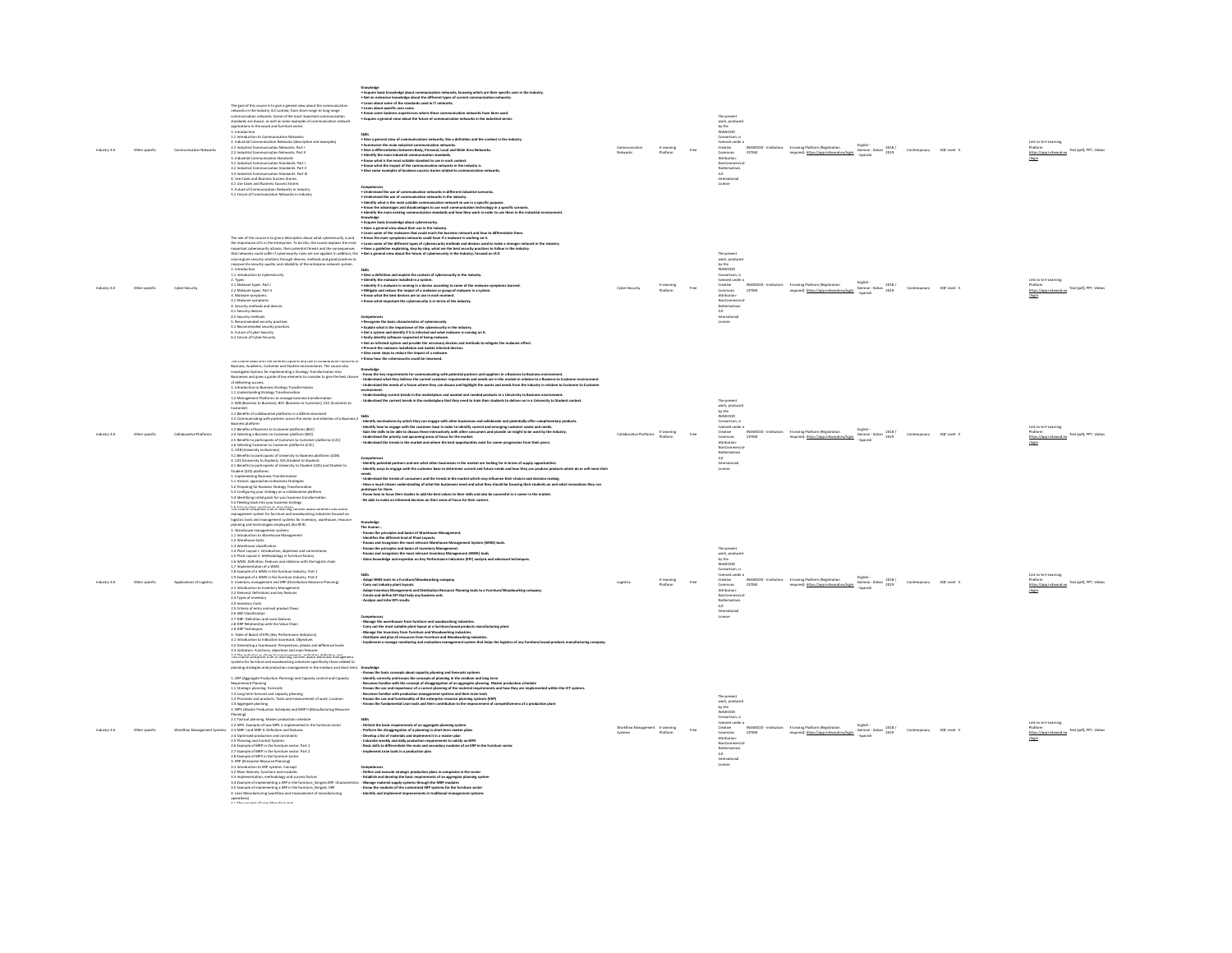| Other specific | Communication Networks    | The goal of this course is to give a general view about the cor<br>networks in the Industry 4.0 context, from short-range to long-range<br>communication networks. Some of the most important communication<br>standards are shown, as well as some examples of communication network<br>applications in the wood and furniture sector<br>1. Introduction<br>- Involution to Communication Networks<br>2. Industrial Communication Networks (description and examples)<br>2.1 Industrial Communication Networks. Part I<br>2.2 Industrial Communication Networks. Part II<br>3. Industrial Communication Standards<br>a. Instantin Communication Standards, Part I<br>3.1 Industrial Communication Standards, Part II<br>3.3 Industrial Communication Standards, Part II<br>4. Use Cases and Business Success Stories<br>4.1 Use Cases and Business Success Stories<br>1.1 Use Cases and Universition Networks in Industry<br>5.1 Future of Communication Networks in Industry<br>5.1 Future of Communication Networks in Industry                                                                                                                                                                                                                                                                                                                                                                                                                                                                                                                             | • Know some business experiences where these communication networks have been used.<br>• Acquire a general view about the future of communication networks in the industrial sector.<br>-<br>• Give a general view of communications networks, like a definition and the context in the industry.<br>• Summarize the main industrial communication networks.<br>• Give a differentiation between Body, Pensonal, Local and Wide<br>. Identify the main industrial commu<br>nication standards.<br>• Identity the main industrial communication standards.<br>• Know what is the most suitable standard to use in each context.<br>• Know what the impact of the communication networks in the industry is.<br>· Give some examples of business success stories related to communication networks<br>Competences<br>• Union rate due as of communication networks in different industrial scenarios.<br>• Honditation the test of a state scale of the state of the state of the state of the state of the state of t<br>• Hondity what is t                                                                                                                                                                                                                                                                                                                                                                                                                                                                                                                                                                                                                                                     |                 | E-Learning<br>Platform |      | The present<br>work, produced<br>by the<br>IN4WOOD<br>Consortium, is<br>licensed under a<br>Creative<br>IN4WOOD - Institution:<br>Commons<br>CETEM<br>Attribution-<br>NonCommercial<br>NoDerivatives<br>4.0<br>International<br>License                        |                                                                                                                                                                                   |                                                                                                                                                                                                                                           |                            |               | rk to te E-Learning<br>https://app.infwcod.eu. Text (pdf), PPT, Videos              |
|----------------|---------------------------|----------------------------------------------------------------------------------------------------------------------------------------------------------------------------------------------------------------------------------------------------------------------------------------------------------------------------------------------------------------------------------------------------------------------------------------------------------------------------------------------------------------------------------------------------------------------------------------------------------------------------------------------------------------------------------------------------------------------------------------------------------------------------------------------------------------------------------------------------------------------------------------------------------------------------------------------------------------------------------------------------------------------------------------------------------------------------------------------------------------------------------------------------------------------------------------------------------------------------------------------------------------------------------------------------------------------------------------------------------------------------------------------------------------------------------------------------------------------------------------------------------------------------------------------------------------|-------------------------------------------------------------------------------------------------------------------------------------------------------------------------------------------------------------------------------------------------------------------------------------------------------------------------------------------------------------------------------------------------------------------------------------------------------------------------------------------------------------------------------------------------------------------------------------------------------------------------------------------------------------------------------------------------------------------------------------------------------------------------------------------------------------------------------------------------------------------------------------------------------------------------------------------------------------------------------------------------------------------------------------------------------------------------------------------------------------------------------------------------------------------------------------------------------------------------------------------------------------------------------------------------------------------------------------------------------------------------------------------------------------------------------------------------------------------------------------------------------------------------------------------------------------------------------------------------------------------------------------------------------------------------------------------------|-----------------|------------------------|------|----------------------------------------------------------------------------------------------------------------------------------------------------------------------------------------------------------------------------------------------------------------|-----------------------------------------------------------------------------------------------------------------------------------------------------------------------------------|-------------------------------------------------------------------------------------------------------------------------------------------------------------------------------------------------------------------------------------------|----------------------------|---------------|-------------------------------------------------------------------------------------|
| Other specific | Cyber-Security            | improve the security quality and reliability of the enterprise network system.<br>my power and speed on the control of the state of the state of the state of the state of the state of the state of the state of the state of the state of the state of the state of the state of the state of the state of the<br>2.2 Malware types, Part II<br>3. Mahvare symptoms<br>3.1 Mahvare symptoms<br>4. Security methods and devices<br>4.1 Security devices<br>4.2 Security methods<br>5. Recommended security practices<br>5.1 Recommended security practices<br>6. Future of Cyber-Security<br>6.1 Future of Cyber-Security                                                                                                                                                                                                                                                                                                                                                                                                                                                                                                                                                                                                                                                                                                                                                                                                                                                                                                                                     | • Acquire back bureauting about the control of the control of the product of the controller.<br>The aim of this country is the control of the controller of the controller of the controller of the controller<br>The control of its<br>Shits<br>• Clive a definition and explain the context of cybenecurity in the industry.<br>• Identify if an milware in surving is a deview. according to some of the malware symptoms learned.<br>• Hdeppe a not exists the impact of a<br>. Know what important the cybersecurity is in terms of the industry.<br>Compilators<br>- Recognist the basic churacteristics of cybernecosity.<br>- Figure Mark Li the Hepotronse of the cybernecosity in the industry.<br>- Each ylansify achieves supposed of the recognize power is consistent of the state<br>. Give some steps to reduce the impact of a malware.<br>• Know how the reherearmity rould he improved                                                                                                                                                                                                                                                                                                                                                                                                                                                                                                                                                                                                                                                                                                                                                                                       | Cyber-Security  | E-Learning<br>Platform |      | The present<br>work, produced<br>by the<br>IN4WOOD<br>Consortium, is<br>licensed under a<br>Creative<br>Commons<br>CETEM<br>Attribution-<br>NonCommercia<br>NoDerivatives<br>4.0<br>International<br>Linemse                                                   | IN4WOOD - Institution: E-Learing Platform (Registration<br>E-Learing Platform (Registration<br>required): https://app.infwood.eu/login German - Italian 2019                      | English-                                                                                                                                                                                                                                  | Contemporary EQF Level - 5 |               | Link to te E-Learning<br>Platform<br>https://asp.infwcod.eu Text (pdf), PPT, Video  |
|                | Collab                    | This course deals with the different options and use of collaborative Platforms in Business, Academic, Customer and Student environments. The course also <b>Knowledge</b><br>Investigates Options for implementing a Strategy Transfo<br>Businesses and gives a guide of key elements to consider to give the best chance<br>Businessina and goes a guide of key elements to consider to give the best charged dislowing success.<br>1. Introduction to Business Strategy Transformation<br>1. Introduction to Business Strategy Transformation<br>1.2 Managemen<br>Customer)<br>2.6 Selecting Customer to Customer platforms (C2C)<br>2.0 January Committee in Contrast Pennsylvania (CAC)<br>3.1226 (University to Business)<br>3.1 Benefits to participants of University to Business platforms (U2B)<br>4.1225 (University to Student), S25 (Student to Student)<br>4.1 Benefits to participants of University to Student (U2S) and Student to<br>Student (S2S) platforms<br>$\begin{array}{ll} \textbf{S.} \text{ impimorting}{\textit{Busimes}} \textit{Transformation} \\ \textbf{S.} \textbf{Inphimorting}{\textit{Busimes}} \textit{Transformation} \\ \textbf{S.} \textbf{1} \textit{Histori: approaches to Business Strategies} \\ \textbf{S.} \textbf{2} \textit{Preparing for Business Strategy} \textit{Transformation} \\ \textbf{S.} \textbf{3} \textit{Configuring your strategy on a collaborative platform} \end{array}$<br>5.4 Identifying initial goals for your business transformation<br>5.5 Feeding back into your business strategy | - Know the key requirements for communicating with potential partners and suppliers in a Business to Business environment.<br>- Understand what they believe the current customer requirements and needs are in the market in rel<br>- Understand the needs of a forum where they can discuss and highlight the wants and needs from the industry in relation to Customer to Custome<br>ennuousment.<br>- Undentanding current trends in the marketplace and wanted and needed products in a University to Business environment.<br>- Undentand the current trends in the marketplace that they need to train their students<br>21 South of Guide training in a 12 Aminimate<br>12 Convertising with prime sets the second series of a Buriers 2 Milk<br>12 Series published a Content platform (EC)<br>23 Beeling & Buriers to Content platform (EC)<br>23 Series in Grou<br>Competences<br>- Meetify potential partners and see what other businesses in the market are looking for in terms of supply opportunities.<br>- Meetify ways to engage with the customer base to determine current and future needs a<br>needs.<br>Understand the trends of consumers and the trends in the market which may influence their choices and decision making<br>Have a much clearer understanding of what the businesses need and what they should be focusing their students on and what innovations they can<br>- Have a mucn ceaser uttansameng or written.<br>prototype for them.<br>- Know how to focus their studies to add the best values to their skills and also be successful in a career in the market.<br>Be able to make an informed decision on their areas of focus for their careers. | ative Platforms | E-Learning<br>Platform |      | The present<br>work, produced<br>by the<br>N4WOOD<br>Consortium, is<br>licensed under a<br>Creative<br>neitutitati - 000WPM<br>Commons<br>CETEM<br>Attribution-<br>Attrisussen<br>NonCommercial<br>NoDerivatives<br>4.0<br>International<br>Hironia<br>License | E-Learing Platform (Registration<br>required): https://app.in4wood.eu/loain                                                                                                       | $\begin{array}{l} \mbox{English-}\\ \mbox{German-halian} \end{array} \begin{array}{l} 2018\,/\!\\ \mbox{2019} \end{array} \qquad \begin{array}{l} \mbox{Contemporary} \end{array} \qquad \begin{array}{l} \mbox{EQF level-5} \end{array}$ |                            |               | nk to te E-Learning<br>Platform<br>Text (pdf), PPT, Videos<br>https://ap            |
|                | Applications of Logistics | 5.3 Feeding Back of the year business interaction around correct amo users) and the control computers are to interacting the control of the control control in the control of the control of the control of the control of th<br>1.3 Warehouse classification<br>1.4 Plant Layout I. Introduction, objectives and comerstones<br>1.4 Plant Layout II. Methodology in furniture factory<br>1.5 Plant Layout II. Methodology in furniture factory<br>1.6 WMS. Definition, features and relations with the logistic chain<br>1.7 Implementation of a WMS<br>1.8 Example of a WMS in the furniture Industry. Part 1<br>1.9 Example of a WMS in the furniture Industry. Part 2<br>13 Europa de 4 Wiki de Marchure Holzeley, Pariz<br>21 Ioannes - Marchure Holzeley, Pariz († 2008)<br>21 Ioannes - Marchure Holzeley, Paris († 2008)<br>23 Types de Ioannes en la turche († 2008)<br>23 Marchure Holzeley, Paris († 2008)<br><br>$\begin{tabular}{l} 3.1 Introduction to Inelastics. Coercierd. Objectives\\  3.2 Generaling a Scoreed. Perspectives and differences levels\\ 3.3 Inflicators. Functions, objectives and main features\\ \end{tabular}$<br>This course comprises a set of learning content about workflow management                                                                                                                                                                                                                                                                                                                               | Knowledge<br>The learner<br>- Knows the principles and basics of Warehouse Management.<br>- Moows and recognizes the most relevant Warehouse Management System (WMS) tools.<br>- Knows and recognizes the most relevant Warehouse Manag<br>- Knows the principles and basics of Inventory Management.<br>- Knows and recognizes the most relevant Inventory Management (WMS) tools.<br>Gains knowledge and expertise on Key Performance Indicators (KPI) analysis and advanced ter<br>- Adapt WMS tools to a Furniture/Woodworking company.<br>- Carry out industry plant layouts.<br>- Carry Cox measury prain reyons.<br>- Adapt Inventory Management and Distribution Res<br>- Create and define KPI that help any business unit.<br>Analyze and Infer KPI results.<br>Computerca<br>- Change the werehouse from furniture and weadworking industries.<br>- Change the investorates for furniture and Woodworking industries.<br>- Johange the investory from furniture and Woodworking industries.<br>- Jongleme                                                                                                                                                                                                                                                                                                                                                                                                                                                                                                                                                                                                                                                                            |                 | E-Learning<br>Platform | Free | The present<br>work, produced<br>by the<br>N4W000<br>Consortium, is<br>licensed under a<br>Creative<br>Commons<br>CETEM<br>Attribution.<br>NonCommerci<br>NoDerivatives<br>4.0<br>International                                                                | IN4WOOD - Institution: E-Learing Platform (Registration<br>E-Learing Platform (Registration Engran-<br>required): https://app.infwood.eu/login German - Italian 2019 Contemporary | English                                                                                                                                                                                                                                   |                            | EQF Level - 5 | Link to te E-Learning<br>Platform<br>https://app.infwcod.eu Text (pdf), PPT, Videos |
|                |                           | systems for furniture and woodworking industries specifically those related to<br>systems for furniture and woodworking industries specifically those related to<br>planning strategies and production management in the medium and<br>1. APP (Aggregate Production Planning) and Capacity control and Capacity<br>Example propries transmit reasons are expected to consider the state of the Magnitude Richards<br>1.1 Strategic planning forecasts<br>1.2 Larg-term forecast and capacity planning<br>1.2 Angergate planning<br>2. MPS (Master Production<br>(Brinald<br>2.1 Tactical planning. Master production schedule<br>2.2 MPS. Example of how MPS is implemented in the furniture sector<br>2.3 MRP I and MRP II. Definition and features<br>2.3 MRP I and MRP II. Definition and features<br>2.5 Planning and Control Systems<br>2.6 Example of MRP in the furniture sector. Part 1<br>2.7 Example of MRP in the furniture sector. Part 2<br>2.8 Example of MPS in the furniture sector<br>3. ENP (Enterprise Resource Planning)<br>3.1 Introduction to ERP systems. Concept<br>3.2 Main features, functions and modules<br>3.3 Implementation, methodology and success factors<br>3.4 Example of implementing a ERP in the furniture_Simpast.ERP. Character 3.5 Example of implementing a ERP in the furniture_Simpast.ERP 4. Lean Manufacturing (workflow and improvement of manufacturing<br>operations)                                                                                                                                        | - Exome the basic concepts about Capsicity pluning and forecasts systems<br>- Mentily correctly and knows the concepts of planning in the medium and long term<br>- Exoeme line was and importance of a correct planning of the mate<br>Becomes familiar with production management systems and their main tools<br>- Moows the use and functionality of the enterprise resource planning systems (ERP)<br>- Knows the use and functionality of the enterprise resource planning systems (ERP)<br>- Knows the fundamental Lean tools and their contribut<br>eness of a production plant<br>-som<br>- Poldom the basic requirements of an aggregate planning system<br>- Perdom the diagpregation of a planning in short-term muster plans<br>- Develop a list of materials and implement it in a master plan<br>- Davidate sweely and<br>Implement Lean tools in a production plan<br>- Establish and develop the basic requirements of an aggregate planning system<br>- Manage material supply systems through the MIDP modules<br>- Know the modules of the customized ERP systems for the furniture sector<br>- Identify                                                                                                                                                                                                                                                                                                                                                                                                                                                                                                                                                                    |                 |                        |      | The present<br>work, produced<br>by the<br>IN4WOOD<br>Consortium, is<br><b>licensed under a</b><br>Creative<br>Commons<br>Attribution-<br>NonCommercial-<br>INAMOOD - H<br>CETEM<br>NoDerivatives<br>4.0<br>International<br>License                           | E-Learing Platform (Registration<br>required): https://app.in4wood.eu/login                                                                                                       | $\begin{tabular}{l} \textbf{Graph} \\\\ \textbf{German} \end{tabular} \begin{tabular}{l} \textbf{1} & \textbf{2018} \\ \textbf{10} & \textbf{2019} \\ \textbf{2019} & \textbf{2019} \\ \end{tabular}$                                     |                            | EQF Level - 5 | Text (pdf), PPT, Video                                                              |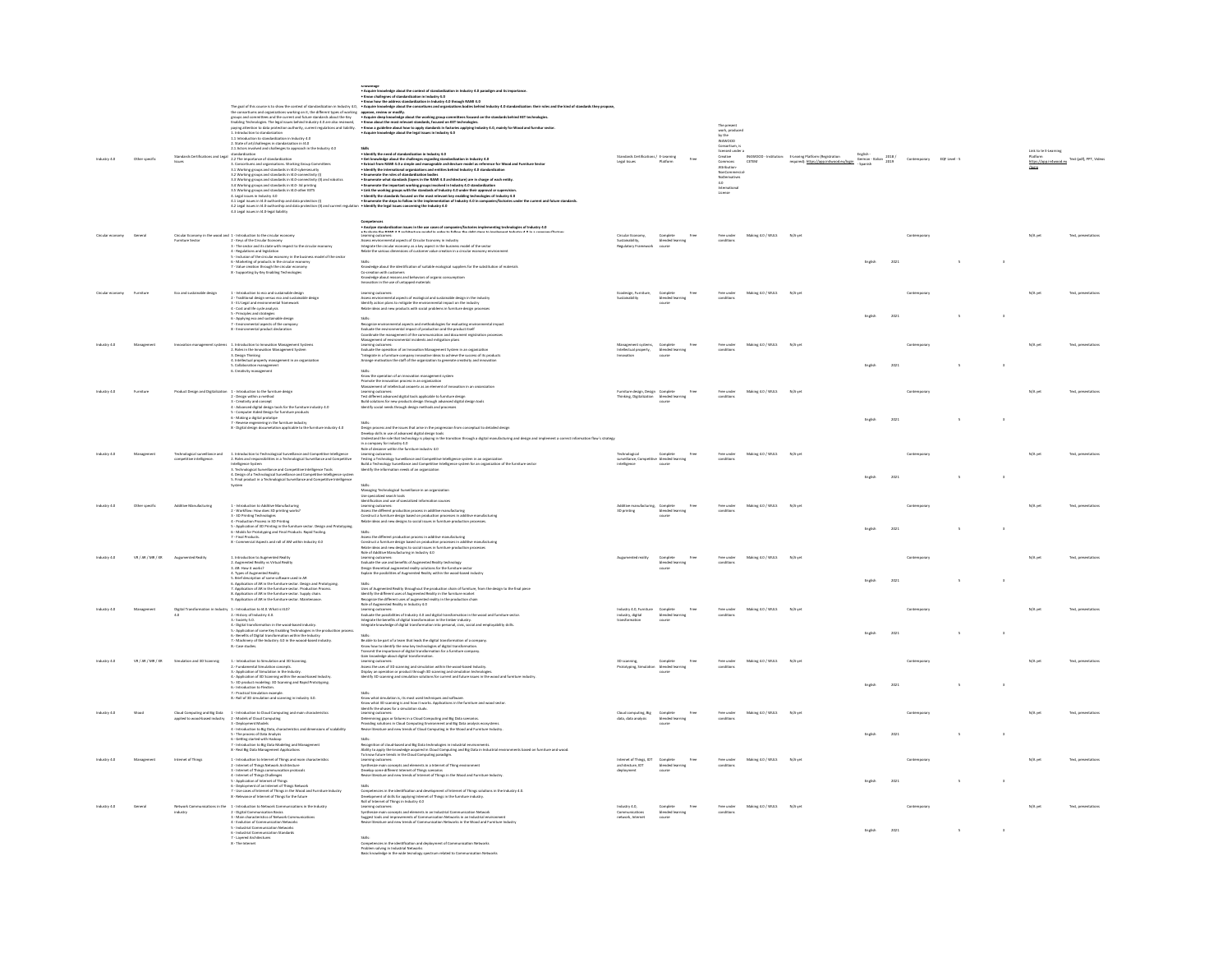|             |                                                                |                                                                                                                                                                                                                                                                                                                                                                                                                                                                                                                                                                                                          |                                                                                                                                                                                                                                                                                                                                                                                                                                                       |                                                                                |                                        | The present<br>work, produced<br>by the<br>netWOOD<br>Consetium, is<br>consetium is<br>creative<br>consecution<br>Attribution-<br>Mortenterial<br>Non-Commercial<br>Non-Commercial |                           |                                                                                                    |                                                   |              |        |         |         |                                  |
|-------------|----------------------------------------------------------------|----------------------------------------------------------------------------------------------------------------------------------------------------------------------------------------------------------------------------------------------------------------------------------------------------------------------------------------------------------------------------------------------------------------------------------------------------------------------------------------------------------------------------------------------------------------------------------------------------------|-------------------------------------------------------------------------------------------------------------------------------------------------------------------------------------------------------------------------------------------------------------------------------------------------------------------------------------------------------------------------------------------------------------------------------------------------------|--------------------------------------------------------------------------------|----------------------------------------|------------------------------------------------------------------------------------------------------------------------------------------------------------------------------------|---------------------------|----------------------------------------------------------------------------------------------------|---------------------------------------------------|--------------|--------|---------|---------|----------------------------------|
|             |                                                                |                                                                                                                                                                                                                                                                                                                                                                                                                                                                                                                                                                                                          |                                                                                                                                                                                                                                                                                                                                                                                                                                                       |                                                                                |                                        |                                                                                                                                                                                    |                           |                                                                                                    |                                                   |              |        |         |         |                                  |
|             |                                                                |                                                                                                                                                                                                                                                                                                                                                                                                                                                                                                                                                                                                          | $\begin{minipage}[t]{0.9\textwidth} \begin{itemize} \texttt{Shim} & \texttt{Ric} \\ \texttt{Sic} & \texttt{Ric} \\ \texttt{Sic} & \texttt{Ric} \\ \texttt{Sic} & \texttt{Ric} \\ \texttt{Sic} & \texttt{Ric} \\ \texttt{Sic} & \texttt{Ric} \\ \texttt{Sic} & \texttt{Ric} \\ \texttt{Sic} & \texttt{Ric} \\ \texttt{Sic} & \texttt{Ric} \\ \texttt{Sic} & \texttt{Ric} \\ \texttt{Sic} & \texttt{Ric} \\ \texttt{Sic} & \texttt{Ric} \\ \texttt{Sic$ |                                                                                |                                        |                                                                                                                                                                                    |                           |                                                                                                    |                                                   |              |        |         |         |                                  |
|             |                                                                | Standards Certifications and Legal absolute<br>the Taxabused are standardized and the proposition of the distribution of<br>the group case of the standards in All-Operators (a)<br>$1.1$ Working groups and taxabused in All-Operator                                                                                                                                                                                                                                                                                                                                                                   |                                                                                                                                                                                                                                                                                                                                                                                                                                                       | Legal Issues                                                                   |                                        |                                                                                                                                                                                    |                           | M4WOOD - Institution: E-Learing Platform (Registration<br>CETEM required): https://app.in4wood.eu/ | English -<br>German - Italian $\frac{2018}{2019}$ |              |        |         |         | .<br>Dead ext (pdf), PPT, Videos |
|             |                                                                |                                                                                                                                                                                                                                                                                                                                                                                                                                                                                                                                                                                                          |                                                                                                                                                                                                                                                                                                                                                                                                                                                       |                                                                                |                                        |                                                                                                                                                                                    |                           |                                                                                                    |                                                   |              |        |         |         |                                  |
|             |                                                                |                                                                                                                                                                                                                                                                                                                                                                                                                                                                                                                                                                                                          |                                                                                                                                                                                                                                                                                                                                                                                                                                                       |                                                                                |                                        |                                                                                                                                                                                    |                           |                                                                                                    |                                                   |              |        |         |         |                                  |
|             |                                                                |                                                                                                                                                                                                                                                                                                                                                                                                                                                                                                                                                                                                          |                                                                                                                                                                                                                                                                                                                                                                                                                                                       |                                                                                |                                        | NoDerivatives<br>4.0<br>International<br>License                                                                                                                                   |                           |                                                                                                    |                                                   |              |        |         |         |                                  |
|             |                                                                | 3.5 Working groups and standards in 14.0-other KETS<br>4. Legal issues in Industry 4.0                                                                                                                                                                                                                                                                                                                                                                                                                                                                                                                   |                                                                                                                                                                                                                                                                                                                                                                                                                                                       |                                                                                |                                        |                                                                                                                                                                                    |                           |                                                                                                    |                                                   |              |        |         |         |                                  |
|             |                                                                | 4.1 Legal issues in 14.0-authorship and data protection (I)<br>4.2 Legal issues in 14.0-authorship and data protection (II) and current reg                                                                                                                                                                                                                                                                                                                                                                                                                                                              | . Identify the legal issues concerning the Industry 4.0                                                                                                                                                                                                                                                                                                                                                                                               |                                                                                |                                        |                                                                                                                                                                                    |                           |                                                                                                    |                                                   |              |        |         |         |                                  |
|             |                                                                | 4.3 Legal issues in 14.0-legal liability                                                                                                                                                                                                                                                                                                                                                                                                                                                                                                                                                                 |                                                                                                                                                                                                                                                                                                                                                                                                                                                       |                                                                                |                                        |                                                                                                                                                                                    |                           |                                                                                                    |                                                   |              |        |         |         |                                  |
|             |                                                                |                                                                                                                                                                                                                                                                                                                                                                                                                                                                                                                                                                                                          | Completed<br>- Analyse standerfiscition issues in the use cases of companies/factories implementing technologies of Industry 4.0<br>- Learning concernental aspects of Circular Economy in Industry<br>- Assess environmental aspects o                                                                                                                                                                                                               |                                                                                |                                        |                                                                                                                                                                                    |                           |                                                                                                    |                                                   |              |        |         |         |                                  |
|             |                                                                |                                                                                                                                                                                                                                                                                                                                                                                                                                                                                                                                                                                                          |                                                                                                                                                                                                                                                                                                                                                                                                                                                       |                                                                                |                                        |                                                                                                                                                                                    | Making 4.0 / WULS         |                                                                                                    |                                                   |              |        |         |         |                                  |
|             |                                                                |                                                                                                                                                                                                                                                                                                                                                                                                                                                                                                                                                                                                          |                                                                                                                                                                                                                                                                                                                                                                                                                                                       |                                                                                | Complete<br>blended lear<br>course     |                                                                                                                                                                                    |                           |                                                                                                    |                                                   |              |        |         |         |                                  |
|             |                                                                | $\begin{aligned} \textbf{Crain} & \textbf{E} \textbf{coroll} \\ \textbf{For a list.} & \textbf{E} \textbf{coroll} \\ \textbf{For a list.} & \textbf{E} \textbf{coroll} \\ \textbf{For a list.} & \textbf{E} \textbf{For each set.} \\ \textbf{E} & \textbf{For a list.} & \textbf{For a list.} \\ \textbf{E} & \textbf{For a list.} \\ \textbf{S} & \textbf{For a list.} \\ \textbf{S} & \textbf{For a list.} \\ \textbf{S} & \textbf{For a list.} \\ \textbf{S} & \textbf{For a list.} \\ \textbf{S} &$                                                                                                 |                                                                                                                                                                                                                                                                                                                                                                                                                                                       |                                                                                |                                        |                                                                                                                                                                                    |                           |                                                                                                    |                                                   |              |        |         |         |                                  |
|             |                                                                |                                                                                                                                                                                                                                                                                                                                                                                                                                                                                                                                                                                                          |                                                                                                                                                                                                                                                                                                                                                                                                                                                       |                                                                                |                                        |                                                                                                                                                                                    |                           |                                                                                                    |                                                   |              |        |         |         |                                  |
|             |                                                                |                                                                                                                                                                                                                                                                                                                                                                                                                                                                                                                                                                                                          |                                                                                                                                                                                                                                                                                                                                                                                                                                                       |                                                                                |                                        |                                                                                                                                                                                    |                           |                                                                                                    |                                                   |              |        |         |         |                                  |
|             |                                                                |                                                                                                                                                                                                                                                                                                                                                                                                                                                                                                                                                                                                          | some:<br>Knowledge about the identification of suitable ecological suppliers for the substitution of materials<br>Co-creation with customers<br>Knowledge about reasons and behaviors of organic consumptiom<br>Innovation in the use of u                                                                                                                                                                                                            |                                                                                |                                        |                                                                                                                                                                                    |                           |                                                                                                    |                                                   |              |        |         |         |                                  |
|             | Eco and sustainable design                                     |                                                                                                                                                                                                                                                                                                                                                                                                                                                                                                                                                                                                          |                                                                                                                                                                                                                                                                                                                                                                                                                                                       |                                                                                |                                        |                                                                                                                                                                                    | Making 4.0 / WULS         | N/A ye                                                                                             |                                                   |              |        |         |         |                                  |
|             |                                                                | 1 - Introduction to eco and sostainable design<br>2 - Traditional design werus eco and sostainable design<br>3 - EU Legal and environmental framework<br>4 - Cost and life cycle analysis<br>5 - Principles and strategies<br>5 - Principles                                                                                                                                                                                                                                                                                                                                                             | Learning outcomes:<br>Assess environmental aspects of ecological and sustainable design in the industry<br>Identify action plans to mitigate the environmental impact on the industry<br>Relate ideas and new products with social prob                                                                                                                                                                                                               |                                                                                | Complete<br>blended learning<br>course |                                                                                                                                                                                    |                           |                                                                                                    |                                                   |              |        |         |         |                                  |
|             |                                                                |                                                                                                                                                                                                                                                                                                                                                                                                                                                                                                                                                                                                          |                                                                                                                                                                                                                                                                                                                                                                                                                                                       |                                                                                |                                        |                                                                                                                                                                                    |                           |                                                                                                    |                                                   |              |        |         |         |                                  |
|             |                                                                |                                                                                                                                                                                                                                                                                                                                                                                                                                                                                                                                                                                                          |                                                                                                                                                                                                                                                                                                                                                                                                                                                       |                                                                                |                                        |                                                                                                                                                                                    |                           |                                                                                                    | Englis                                            | 2021         |        |         |         |                                  |
|             |                                                                |                                                                                                                                                                                                                                                                                                                                                                                                                                                                                                                                                                                                          |                                                                                                                                                                                                                                                                                                                                                                                                                                                       |                                                                                |                                        |                                                                                                                                                                                    |                           |                                                                                                    |                                                   |              |        |         |         |                                  |
|             |                                                                |                                                                                                                                                                                                                                                                                                                                                                                                                                                                                                                                                                                                          | Since<br>$\mathcal{H}_0$ is environmental aspects and methodologies for evaluating environmental impact<br>$\mathcal{H}_0$ constraint the management of the communication and decomendation<br>for the system of the communication and decomendati                                                                                                                                                                                                    |                                                                                |                                        |                                                                                                                                                                                    |                           |                                                                                                    |                                                   |              |        |         |         |                                  |
|             | nagement systems                                               |                                                                                                                                                                                                                                                                                                                                                                                                                                                                                                                                                                                                          |                                                                                                                                                                                                                                                                                                                                                                                                                                                       |                                                                                |                                        |                                                                                                                                                                                    | Making 4.0 / WULS N/A yet |                                                                                                    |                                                   |              |        |         | N/A yet |                                  |
|             |                                                                |                                                                                                                                                                                                                                                                                                                                                                                                                                                                                                                                                                                                          |                                                                                                                                                                                                                                                                                                                                                                                                                                                       | ctual property,                                                                | Complete<br>blended learning<br>course |                                                                                                                                                                                    |                           |                                                                                                    |                                                   |              |        |         |         |                                  |
|             |                                                                | 5. Collaboration management                                                                                                                                                                                                                                                                                                                                                                                                                                                                                                                                                                              |                                                                                                                                                                                                                                                                                                                                                                                                                                                       |                                                                                |                                        |                                                                                                                                                                                    |                           |                                                                                                    | English<br>2021                                   |              |        |         |         |                                  |
|             |                                                                | 6. Creativity management                                                                                                                                                                                                                                                                                                                                                                                                                                                                                                                                                                                 |                                                                                                                                                                                                                                                                                                                                                                                                                                                       |                                                                                |                                        |                                                                                                                                                                                    |                           |                                                                                                    |                                                   |              |        |         |         |                                  |
|             |                                                                |                                                                                                                                                                                                                                                                                                                                                                                                                                                                                                                                                                                                          | Know the operation of an innovation management system<br>Promote the innovation process in an organization<br>Management of intellectual property as an element of innovation in an organization                                                                                                                                                                                                                                                      |                                                                                |                                        |                                                                                                                                                                                    |                           |                                                                                                    |                                                   |              |        |         |         |                                  |
|             |                                                                | Product Design and Digitalization 1 - Introduction to the furniture design                                                                                                                                                                                                                                                                                                                                                                                                                                                                                                                               |                                                                                                                                                                                                                                                                                                                                                                                                                                                       | Furniture design, Design Complete<br>Thinking, Digitalization blended learning |                                        |                                                                                                                                                                                    | Making 4.0 / WULS         | N/A yet                                                                                            |                                                   |              |        |         | N/Aye   |                                  |
|             |                                                                | 2 - Design within a method<br>3 - Creativity and concept                                                                                                                                                                                                                                                                                                                                                                                                                                                                                                                                                 | meaning outcomes:<br>Test different advanced digital tools applicable to furniture design<br>Build solutions for new products design through advanced digital design tools                                                                                                                                                                                                                                                                            |                                                                                | course                                 |                                                                                                                                                                                    |                           |                                                                                                    |                                                   |              |        |         |         |                                  |
|             |                                                                | $4$ - Advanced digital design tools for the furniture industry $4.0$<br>$5$ - Computer Aided Design for furniture products                                                                                                                                                                                                                                                                                                                                                                                                                                                                               | Identify social needs through design methods and processes                                                                                                                                                                                                                                                                                                                                                                                            |                                                                                |                                        |                                                                                                                                                                                    |                           |                                                                                                    |                                                   |              |        |         |         |                                  |
|             |                                                                | 6 - Making a digital prototipe                                                                                                                                                                                                                                                                                                                                                                                                                                                                                                                                                                           |                                                                                                                                                                                                                                                                                                                                                                                                                                                       |                                                                                |                                        |                                                                                                                                                                                    |                           |                                                                                                    | English                                           | 2021         | $\sim$ | $\cdot$ |         |                                  |
|             |                                                                | 7 - Reverse engeniering in the furniture industry<br>8 - Digital design documetation applicable to the furniture industry 4.0                                                                                                                                                                                                                                                                                                                                                                                                                                                                            |                                                                                                                                                                                                                                                                                                                                                                                                                                                       |                                                                                |                                        |                                                                                                                                                                                    |                           |                                                                                                    |                                                   |              |        |         |         |                                  |
|             |                                                                |                                                                                                                                                                                                                                                                                                                                                                                                                                                                                                                                                                                                          | anus)<br>Design process and the issues that arise in the progression from conceptual to detailed design<br>Develop sulfain ruse of advenced digital design tools<br>Understand the role that technology is playing in the transition th                                                                                                                                                                                                               |                                                                                |                                        |                                                                                                                                                                                    |                           |                                                                                                    |                                                   |              |        |         |         |                                  |
|             |                                                                |                                                                                                                                                                                                                                                                                                                                                                                                                                                                                                                                                                                                          | one assume the industry 4.0<br>In a company for industry 4.0<br>Role of designer within the furniture industry 4.0<br>Learning outcomes:                                                                                                                                                                                                                                                                                                              |                                                                                |                                        |                                                                                                                                                                                    |                           |                                                                                                    |                                                   |              |        |         |         |                                  |
|             | ological surveillance and<br>competitive intelligence.         | 1. Introduction to Technological Surveillance and Competitive Intelligence<br>2. Roles and responsibilities in a Technological Surveillance and Competitive                                                                                                                                                                                                                                                                                                                                                                                                                                              |                                                                                                                                                                                                                                                                                                                                                                                                                                                       | surveillance, Competitive blended learning                                     |                                        |                                                                                                                                                                                    | Making 4.0 / WULS         | N/A yet                                                                                            |                                                   |              |        |         |         |                                  |
|             |                                                                | Intelligence System                                                                                                                                                                                                                                                                                                                                                                                                                                                                                                                                                                                      | Learning a Tachnology Surveillance and Competitive Intelligence system in an organization<br>Build a Technology Surveillance and Competitive Intelligence system for an organization of the furniture sector<br>Identify the informa                                                                                                                                                                                                                  |                                                                                | course                                 |                                                                                                                                                                                    |                           |                                                                                                    |                                                   |              |        |         |         |                                  |
|             |                                                                | $\label{lem:convergation} \begin{minipage}[c]{0.9\textwidth} \begin{minipage}[c]{0.9\textwidth} \begin{itemize} \begin{itemize} \begin{itemize} \begin{itemize} \begin{itemize} \end{itemize} \end{itemize} \end{itemize} \end{itemize} \end{minipage} \end{minipage} \end{minipage} \end{minipage} \begin{minipage}[c]{0.9\textwidth} \begin{itemize} \begin{itemize} \begin{itemize} \end{itemize} \end{itemize} \end{minipage} \end{minipage} \end{minipage} \begin{minipage}[c]{0.9\textwidth} \begin{itemize} \begin{itemize} \$                                                                    |                                                                                                                                                                                                                                                                                                                                                                                                                                                       |                                                                                |                                        |                                                                                                                                                                                    |                           |                                                                                                    | English                                           | 2021         |        |         |         |                                  |
|             |                                                                |                                                                                                                                                                                                                                                                                                                                                                                                                                                                                                                                                                                                          |                                                                                                                                                                                                                                                                                                                                                                                                                                                       |                                                                                |                                        |                                                                                                                                                                                    |                           |                                                                                                    |                                                   |              |        |         |         |                                  |
|             |                                                                |                                                                                                                                                                                                                                                                                                                                                                                                                                                                                                                                                                                                          |                                                                                                                                                                                                                                                                                                                                                                                                                                                       |                                                                                |                                        |                                                                                                                                                                                    |                           |                                                                                                    |                                                   |              |        |         |         |                                  |
|             | <b>Additive Manufacturing</b>                                  |                                                                                                                                                                                                                                                                                                                                                                                                                                                                                                                                                                                                          |                                                                                                                                                                                                                                                                                                                                                                                                                                                       |                                                                                |                                        |                                                                                                                                                                                    | Making 4.0 / WULS         |                                                                                                    |                                                   |              |        |         |         |                                  |
|             |                                                                |                                                                                                                                                                                                                                                                                                                                                                                                                                                                                                                                                                                                          | Skiller<br>Managing Technological Surveillance in an organization<br>Use peculisation sand case of conciliant information sources<br>Manathcation and case of conciliant information sources<br>Manathcation performation percent in addit                                                                                                                                                                                                            |                                                                                | blended lear<br>course                 |                                                                                                                                                                                    |                           |                                                                                                    |                                                   |              |        |         |         |                                  |
|             |                                                                |                                                                                                                                                                                                                                                                                                                                                                                                                                                                                                                                                                                                          |                                                                                                                                                                                                                                                                                                                                                                                                                                                       |                                                                                |                                        |                                                                                                                                                                                    |                           |                                                                                                    |                                                   |              |        |         |         |                                  |
|             |                                                                |                                                                                                                                                                                                                                                                                                                                                                                                                                                                                                                                                                                                          |                                                                                                                                                                                                                                                                                                                                                                                                                                                       |                                                                                |                                        |                                                                                                                                                                                    |                           |                                                                                                    | 2021                                              |              |        |         |         |                                  |
|             |                                                                |                                                                                                                                                                                                                                                                                                                                                                                                                                                                                                                                                                                                          |                                                                                                                                                                                                                                                                                                                                                                                                                                                       |                                                                                |                                        |                                                                                                                                                                                    |                           |                                                                                                    |                                                   |              |        |         |         |                                  |
|             |                                                                |                                                                                                                                                                                                                                                                                                                                                                                                                                                                                                                                                                                                          |                                                                                                                                                                                                                                                                                                                                                                                                                                                       |                                                                                |                                        |                                                                                                                                                                                    |                           |                                                                                                    |                                                   |              |        |         |         |                                  |
| VR/AR/MR/XR | Augumented Reality                                             | 1. Introduction to Augmented Reality<br>2. Augmented Pauling variant finality<br>4. Types of Augmented Reality<br>4. Types of Augmented Reality<br>5. Application of AR in the furniture setter. Design and Protonysing.<br>5. Applicat                                                                                                                                                                                                                                                                                                                                                                  | Sality<br>$A_{\rm H}$ and the different production process in additive munufacturing<br>Leaves of a different production processes and additive munufacturing<br>that of Additive Manufacturing in Industry. 4.0<br>$\,$ final and Additive                                                                                                                                                                                                           | nted reality                                                                   | Complete<br>blended learning           |                                                                                                                                                                                    | Making 4.0 / WULS         | N/A yet                                                                                            |                                                   |              |        |         |         |                                  |
|             |                                                                |                                                                                                                                                                                                                                                                                                                                                                                                                                                                                                                                                                                                          |                                                                                                                                                                                                                                                                                                                                                                                                                                                       |                                                                                |                                        |                                                                                                                                                                                    |                           |                                                                                                    |                                                   |              |        |         |         |                                  |
|             |                                                                |                                                                                                                                                                                                                                                                                                                                                                                                                                                                                                                                                                                                          |                                                                                                                                                                                                                                                                                                                                                                                                                                                       |                                                                                |                                        |                                                                                                                                                                                    |                           |                                                                                                    |                                                   |              |        |         |         |                                  |
|             |                                                                |                                                                                                                                                                                                                                                                                                                                                                                                                                                                                                                                                                                                          |                                                                                                                                                                                                                                                                                                                                                                                                                                                       |                                                                                |                                        |                                                                                                                                                                                    |                           |                                                                                                    |                                                   |              |        |         |         |                                  |
|             |                                                                | 9. Application of AR in the furniture sector. Maintenance.                                                                                                                                                                                                                                                                                                                                                                                                                                                                                                                                               |                                                                                                                                                                                                                                                                                                                                                                                                                                                       |                                                                                |                                        |                                                                                                                                                                                    |                           |                                                                                                    |                                                   |              |        |         |         |                                  |
|             |                                                                |                                                                                                                                                                                                                                                                                                                                                                                                                                                                                                                                                                                                          |                                                                                                                                                                                                                                                                                                                                                                                                                                                       | Industry 4.0, Furniture                                                        |                                        |                                                                                                                                                                                    | Making 4.0 / WULS         | N/A yet                                                                                            |                                                   |              |        |         | N/A yet |                                  |
|             |                                                                | $\begin{aligned} \text{Digital Transformation in industry} & \quad \text{1-interduction to 14.0. What is 14.0?}\\ & \quad \text{2-History of industry 4.0.}\\ & \quad \text{3- Society 5.0.} \end{aligned}$                                                                                                                                                                                                                                                                                                                                                                                              | Shitti Angenettel Rasiny throughout the production chain of furnitures, from the design to the final pixel<br>Use of Angenettel Rasing Company and the production of the state of the state of the state of the final pixel<br>Rasin                                                                                                                                                                                                                  | industry, digital                                                              | Complete<br>blended learning<br>course |                                                                                                                                                                                    |                           |                                                                                                    |                                                   |              |        |         |         |                                  |
|             |                                                                | are assumed as the matchmation in the wood-based industry.<br>5. Application of some Key Enabling Technologies in the production process.<br>6. Benefits of Digital transformation within the Industry                                                                                                                                                                                                                                                                                                                                                                                                   |                                                                                                                                                                                                                                                                                                                                                                                                                                                       |                                                                                |                                        |                                                                                                                                                                                    |                           |                                                                                                    |                                                   |              |        |         |         |                                  |
|             |                                                                |                                                                                                                                                                                                                                                                                                                                                                                                                                                                                                                                                                                                          |                                                                                                                                                                                                                                                                                                                                                                                                                                                       |                                                                                |                                        |                                                                                                                                                                                    |                           |                                                                                                    | English<br>2021                                   |              |        |         |         |                                  |
|             |                                                                | 7. Machinery of the Industry 4.0 in the woood-based industry.<br>8. Case studies.                                                                                                                                                                                                                                                                                                                                                                                                                                                                                                                        | Be able to be part of a team that leads the digital transformation of a company.<br>Know how to identify the new key technologies of digital transformation.<br>Transmit the importance of digital transformation for a furniture company.                                                                                                                                                                                                            |                                                                                |                                        |                                                                                                                                                                                    |                           |                                                                                                    |                                                   |              |        |         |         |                                  |
|             |                                                                |                                                                                                                                                                                                                                                                                                                                                                                                                                                                                                                                                                                                          | Gain knowledge about digital transformation.                                                                                                                                                                                                                                                                                                                                                                                                          |                                                                                |                                        |                                                                                                                                                                                    |                           |                                                                                                    |                                                   |              |        |         |         |                                  |
| VR/AR/MR/XR | Simulation and 3D Scannnig                                     | 1.- Introduction to Simulation and 3D Scanning.                                                                                                                                                                                                                                                                                                                                                                                                                                                                                                                                                          | Learning outcomes:<br>Assess the uses of 3D scanning and simulation within the wood-based Industry.                                                                                                                                                                                                                                                                                                                                                   | 3D scanning, Complete<br>Prototyping, Simulation blended learning<br>course    |                                        |                                                                                                                                                                                    | Making 4.0 / WULS         | N/A yet                                                                                            |                                                   | Contemporary |        |         |         |                                  |
|             |                                                                | 2. Fundamental Simulation concepts.<br>3.- Application of Simulation in the Industry.<br>4.- Application of 3D Scanning within the wood-based Industry.                                                                                                                                                                                                                                                                                                                                                                                                                                                  | Display an operation or product through 3D scanning and simulation technologies.<br>Identify 3D scanning and simulation solutions for current and future issues in the wood and furniture industry.                                                                                                                                                                                                                                                   |                                                                                |                                        |                                                                                                                                                                                    |                           |                                                                                                    |                                                   |              |        |         |         |                                  |
|             |                                                                | 5.-3D product modeling: 3D Scanning and Rapid Prototyping.<br>6.- Introduction to FlexSim.                                                                                                                                                                                                                                                                                                                                                                                                                                                                                                               |                                                                                                                                                                                                                                                                                                                                                                                                                                                       |                                                                                |                                        |                                                                                                                                                                                    |                           |                                                                                                    | English                                           | 2021         |        |         |         |                                  |
|             |                                                                | 7.- Practical Simulation exampl                                                                                                                                                                                                                                                                                                                                                                                                                                                                                                                                                                          |                                                                                                                                                                                                                                                                                                                                                                                                                                                       |                                                                                |                                        |                                                                                                                                                                                    |                           |                                                                                                    |                                                   |              |        |         |         |                                  |
|             |                                                                | 8.- Roll of 3D simulation and scanning in industry 4.0.                                                                                                                                                                                                                                                                                                                                                                                                                                                                                                                                                  | ansis.<br>Know what simulation is, its most used techniques and software.<br>Know what 3D scanning is and how it works. Applications in the furniture and wood sector.<br>Mantifu tha nhaces fer a simulation study.                                                                                                                                                                                                                                  |                                                                                |                                        |                                                                                                                                                                                    |                           |                                                                                                    |                                                   |              |        |         |         |                                  |
|             |                                                                | 1 - Introduction to Cloud Computing and main characteristics                                                                                                                                                                                                                                                                                                                                                                                                                                                                                                                                             |                                                                                                                                                                                                                                                                                                                                                                                                                                                       |                                                                                |                                        | Free under                                                                                                                                                                         | Makine 4.0 / WULS         | N/A yet                                                                                            |                                                   | Contemporar  |        |         | N/A yet |                                  |
|             | Cloud Computing and Big Data<br>applied to wood-based industry | 2 - Models of Cloud Computing                                                                                                                                                                                                                                                                                                                                                                                                                                                                                                                                                                            |                                                                                                                                                                                                                                                                                                                                                                                                                                                       | Cloud computing, Big<br>data, data analysis                                    | Complete<br>blended learning<br>course |                                                                                                                                                                                    |                           |                                                                                                    |                                                   |              |        |         |         |                                  |
|             |                                                                | 2 - Models of Claud Computing<br>3 - Depleyment Models<br>4 - Introduction to Big Data, characteristics and dimensions of scalability<br>5 - The process of Data Analysis<br>6 - Oetting stanted with Hisdoop<br>7 - Introduction to Big Data                                                                                                                                                                                                                                                                                                                                                            | Manilly Provincian for a seminarize tour.<br>Determining gapp or failures in a Cloud Computing and Big Data scenarios.<br>Determining gapp or failures in Cloud Computing Environment and Big Data analysis ecosystems.<br>Previsii lit                                                                                                                                                                                                               |                                                                                |                                        |                                                                                                                                                                                    |                           |                                                                                                    | English                                           | 2021         |        |         |         |                                  |
|             |                                                                |                                                                                                                                                                                                                                                                                                                                                                                                                                                                                                                                                                                                          |                                                                                                                                                                                                                                                                                                                                                                                                                                                       |                                                                                |                                        |                                                                                                                                                                                    |                           |                                                                                                    |                                                   |              |        |         |         |                                  |
|             |                                                                |                                                                                                                                                                                                                                                                                                                                                                                                                                                                                                                                                                                                          | anus.<br>Akcognition of cloud-based and Big Data technologies in industrial environments.<br>Ability to apply the knowledge acquired in Cloud Computing and Big Data in Industrial environments based on furniture and wood<br>To know                                                                                                                                                                                                                |                                                                                |                                        |                                                                                                                                                                                    |                           |                                                                                                    |                                                   |              |        |         |         |                                  |
|             | Internet of Thing                                              |                                                                                                                                                                                                                                                                                                                                                                                                                                                                                                                                                                                                          |                                                                                                                                                                                                                                                                                                                                                                                                                                                       | TOI <sub>1</sub> Janisti Toine                                                 |                                        |                                                                                                                                                                                    | Making 4.0 / WULS         | N/A ye                                                                                             |                                                   |              |        |         | N/A yet |                                  |
|             |                                                                |                                                                                                                                                                                                                                                                                                                                                                                                                                                                                                                                                                                                          |                                                                                                                                                                                                                                                                                                                                                                                                                                                       | chitecture. IOT                                                                | Complete<br>blended learning<br>course |                                                                                                                                                                                    |                           |                                                                                                    |                                                   |              |        |         |         |                                  |
|             |                                                                |                                                                                                                                                                                                                                                                                                                                                                                                                                                                                                                                                                                                          | To kerne former transition that Chines commenter numerous.<br>Synthesize main concepts and elements in a internet of Thing environment<br>Synthesize main concepts and elements in a internet of Thing script<br>Develop some different                                                                                                                                                                                                               |                                                                                |                                        |                                                                                                                                                                                    |                           |                                                                                                    | 2021<br>English                                   |              | $\sim$ |         |         |                                  |
|             |                                                                |                                                                                                                                                                                                                                                                                                                                                                                                                                                                                                                                                                                                          |                                                                                                                                                                                                                                                                                                                                                                                                                                                       |                                                                                |                                        |                                                                                                                                                                                    |                           |                                                                                                    |                                                   |              |        |         |         |                                  |
|             |                                                                | $\begin{small} \texttt{1-interactions} & \texttt{otherwise} & \texttt{Bing and main characteristics} \\ \texttt{2-interactions} & \texttt{d} \texttt{Thege atomic functions} \\ \texttt{3-interactions} & \texttt{d} \texttt{Thege common conditions} \\ \texttt{4-tensor of Hinge.} & \texttt{GMPage} & \texttt{GMPage} \\ \texttt{5-logligated of Hreege GMPings} & \texttt{CMPage} \\ \texttt{6-logplamped of the sentence of Hinge.} & \texttt{BMPage} & \texttt{the block of the structure in the image} \\ \texttt{7-logically} & \texttt{6-logplattice of the three of Hinge.} & \texttt{BMPase}$ |                                                                                                                                                                                                                                                                                                                                                                                                                                                       |                                                                                |                                        |                                                                                                                                                                                    |                           |                                                                                                    |                                                   |              |        |         |         |                                  |
|             |                                                                |                                                                                                                                                                                                                                                                                                                                                                                                                                                                                                                                                                                                          | Skills<br>Skills competencies in the identification and development of Internet of Things solutions in the Industry 4.0.<br>Development of skills to applying Internet of Things in the furniture industry.<br>Learning postcomes:<br>                                                                                                                                                                                                                |                                                                                |                                        |                                                                                                                                                                                    |                           |                                                                                                    |                                                   |              |        |         |         |                                  |
|             |                                                                |                                                                                                                                                                                                                                                                                                                                                                                                                                                                                                                                                                                                          |                                                                                                                                                                                                                                                                                                                                                                                                                                                       |                                                                                | blended lea                            |                                                                                                                                                                                    |                           |                                                                                                    |                                                   |              |        |         |         |                                  |
|             |                                                                | $\begin{small} \texttt{1-interduction to Newton's Commutiation to the behavior of the \\ \texttt{2-Unjul Commutiation} & \texttt{S-UnjulCommutiation} \\ \texttt{3-Unin characterization of Newton's Commutiation} \\ \texttt{4-Nonlutification of Newton's \\ \texttt{5-indutid Commutiation Networks} \\ \texttt{5-indutid Commutiation Networks} \\ \texttt{6-indutial Commutiation Analysis} \\ \texttt{7-Luqwell Arbitectors} & \texttt{5-Indutivlin} \\ \texttt{7-Luqwell Arbitectors} & \texttt{8-Thriotient} \\ \texttt{8-Thrib} & \texttt{1-Intriot} \\ \texttt{1-Unq} & \texttt{1-Intriot$     |                                                                                                                                                                                                                                                                                                                                                                                                                                                       |                                                                                |                                        |                                                                                                                                                                                    |                           |                                                                                                    |                                                   |              |        |         |         |                                  |
|             |                                                                |                                                                                                                                                                                                                                                                                                                                                                                                                                                                                                                                                                                                          |                                                                                                                                                                                                                                                                                                                                                                                                                                                       |                                                                                |                                        |                                                                                                                                                                                    |                           |                                                                                                    |                                                   |              |        |         |         |                                  |
|             |                                                                |                                                                                                                                                                                                                                                                                                                                                                                                                                                                                                                                                                                                          | series:<br>Competencies in the identification and deployment of Communication Networks<br>Problem solving in Industrial Networks                                                                                                                                                                                                                                                                                                                      |                                                                                |                                        |                                                                                                                                                                                    |                           |                                                                                                    |                                                   |              |        |         |         |                                  |
|             |                                                                |                                                                                                                                                                                                                                                                                                                                                                                                                                                                                                                                                                                                          | Basic incrededge in the wide terrorings spectrum related to Communicatio                                                                                                                                                                                                                                                                                                                                                                              |                                                                                |                                        |                                                                                                                                                                                    |                           |                                                                                                    |                                                   |              |        |         |         |                                  |